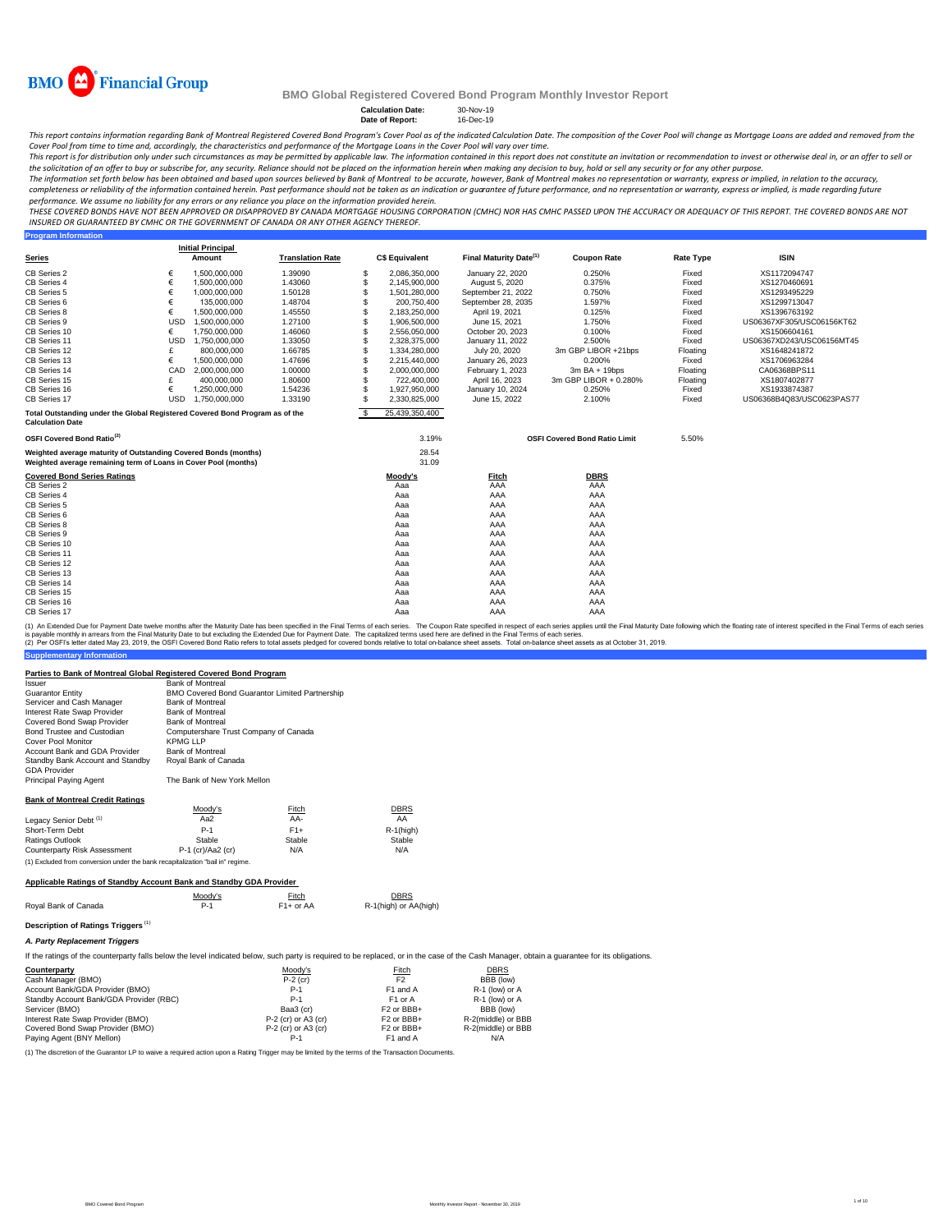

**Program Information**

## **BMO Global Registered Covered Bond Program Monthly Investor Report**

## **Calculation Date:** 30-Nov-19 **Date of Report:** 16-Dec-19

This report contains information regarding Bank of Montreal Registered Covered Bond Program's Cover Pool as of the indicated Calculation Date. The composition of the Cover Pool will change as Mortgage Loans are added and r

Cover Pool from time to time and, accordingly, the characteristics and performance of the Mortgage Loans in the Cover Pool will vary over time.<br>This report is for distribution only under such circumstances as may be permit the solicitation of an offer to buy or subscribe for, any security. Reliance should not be placed on the information herein when *making any decision to buy, hold or sell any security or for any other purpose.* 

The information set forth below has been obtained and based upon sources believed by Bank of Montreal to be accurate, however, Bank of Montreal makes no representation or warranty, express or implied, in relation to the ac *performance. We assume no liability for any errors or any reliance you place on the information provided herein.*

.<br>THESE COVERED BONDS HAVE NOT BEEN APPROVED OR DISAPPROVED BY CANADA MORTGAGE HOUSING CORPORATION (CMHC) NOR HAS CMHC PASSED UPON THE ACCURACY OR ADEQUACY OF THIS REPORT. THE COVERED BONDS ARE NOT *INSURED OR GUARANTEED BY CMHC OR THE GOVERNMENT OF CANADA OR ANY OTHER AGENCY THEREOF.*

|                                                                                                                                    |            | <b>Initial Principal</b> |                         |    |                       |                                    |                                      |                  |                           |
|------------------------------------------------------------------------------------------------------------------------------------|------------|--------------------------|-------------------------|----|-----------------------|------------------------------------|--------------------------------------|------------------|---------------------------|
| <b>Series</b>                                                                                                                      |            | Amount                   | <b>Translation Rate</b> |    | <b>C\$ Equivalent</b> | Final Maturity Date <sup>(1)</sup> | <b>Coupon Rate</b>                   | <b>Rate Type</b> | <b>ISIN</b>               |
| CB Series 2                                                                                                                        | €          | 1,500,000,000            | 1.39090                 | S  | 2,086,350,000         | January 22, 2020                   | 0.250%                               | Fixed            | XS1172094747              |
| CB Series 4                                                                                                                        | €          | 1,500,000,000            | 1.43060                 | S  | 2,145,900,000         | August 5, 2020                     | 0.375%                               | Fixed            | XS1270460691              |
| CB Series 5                                                                                                                        | €          | 1.000.000.000            | 1.50128                 | S  | 1,501,280,000         | September 21, 2022                 | 0.750%                               | Fixed            | XS1293495229              |
| CB Series 6                                                                                                                        | €          | 135,000,000              | 1.48704                 | S  | 200,750,400           | September 28, 2035                 | 1.597%                               | Fixed            | XS1299713047              |
| CB Series 8                                                                                                                        | €          | 1,500,000,000            | 1.45550                 | S  | 2,183,250,000         | April 19, 2021                     | 0.125%                               | Fixed            | XS1396763192              |
| CB Series 9                                                                                                                        | <b>USD</b> | 1.500.000.000            | 1.27100                 | S  | 1.906.500.000         | June 15, 2021                      | 1.750%                               | Fixed            | US06367XF305/USC06156KT62 |
| CB Series 10                                                                                                                       | €          | 1,750,000,000            | 1.46060                 | S  | 2,556,050,000         | October 20, 2023                   | 0.100%                               | Fixed            | XS1506604161              |
| CB Series 11                                                                                                                       | <b>USD</b> | 1.750.000.000            | 1.33050                 | S  | 2.328.375.000         | January 11, 2022                   | 2.500%                               | Fixed            | US06367XD243/USC06156MT45 |
| CB Series 12                                                                                                                       | £          | 800,000,000              | 1.66785                 | S  | 1,334,280,000         | July 20, 2020                      | 3m GBP LIBOR +21bps                  | Floating         | XS1648241872              |
| CB Series 13                                                                                                                       | €          | 1,500,000,000            | 1.47696                 | S  | 2,215,440,000         | January 26, 2023                   | 0.200%                               | Fixed            | XS1706963284              |
| CB Series 14                                                                                                                       | CAD        | 2,000,000,000            | 1.00000                 | S  | 2,000,000,000         | February 1, 2023                   | $3m$ BA + 19bps                      | Floating         | CA06368BPS11              |
| CB Series 15                                                                                                                       |            | 400,000,000              | 1.80600                 | S  | 722,400,000           | April 16, 2023                     | 3m GBP LIBOR + 0.280%                | Floating         | XS1807402877              |
| CB Series 16                                                                                                                       | €          | 1.250.000.000            | 1.54236                 | S. | 1,927,950,000         | January 10, 2024                   | 0.250%                               | Fixed            | XS1933874387              |
| CB Series 17                                                                                                                       | <b>USD</b> | 1.750.000.000            | 1.33190                 | S. | 2.330.825.000         | June 15, 2022                      | 2.100%                               | Fixed            | US06368B4Q83/USC0623PAS77 |
| Total Outstanding under the Global Registered Covered Bond Program as of the<br><b>Calculation Date</b>                            |            |                          |                         | S. | 25,439,350,400        |                                    |                                      |                  |                           |
| OSFI Covered Bond Ratio <sup>(2)</sup>                                                                                             |            |                          |                         |    | 3.19%                 |                                    | <b>OSFI Covered Bond Ratio Limit</b> | 5.50%            |                           |
| Weighted average maturity of Outstanding Covered Bonds (months)<br>Weighted average remaining term of Loans in Cover Pool (months) |            |                          |                         |    | 28.54<br>31.09        |                                    |                                      |                  |                           |
| <b>Covered Bond Series Ratings</b>                                                                                                 |            |                          |                         |    | Moody's               | Fitch                              | <b>DBRS</b>                          |                  |                           |
| CB Series 2                                                                                                                        |            |                          |                         |    | Aaa                   | AAA                                | AAA                                  |                  |                           |
| CB Series 4                                                                                                                        |            |                          |                         |    | Aaa                   | AAA                                | AAA                                  |                  |                           |
| CB Series 5                                                                                                                        |            |                          |                         |    | Aaa                   | AAA                                | AAA                                  |                  |                           |
| CB Series 6                                                                                                                        |            |                          |                         |    | Aaa                   | AAA                                | AAA                                  |                  |                           |
| CB Series 8                                                                                                                        |            |                          |                         |    | Aaa                   | AAA                                | AAA                                  |                  |                           |
| CB Series 9                                                                                                                        |            |                          |                         |    | Aaa                   | AAA                                | AAA                                  |                  |                           |
| CB Series 10                                                                                                                       |            |                          |                         |    | Aaa                   | AAA                                | AAA                                  |                  |                           |
| CB Series 11                                                                                                                       |            |                          |                         |    | Aaa                   | AAA                                | AAA                                  |                  |                           |
| CB Series 12                                                                                                                       |            |                          |                         |    | Aaa                   | AAA                                | AAA                                  |                  |                           |
| CB Series 13                                                                                                                       |            |                          |                         |    | Aaa                   | AAA                                | AAA                                  |                  |                           |
| CB Series 14                                                                                                                       |            |                          |                         |    | Aaa                   | AAA                                | AAA                                  |                  |                           |
| CB Series 15                                                                                                                       |            |                          |                         |    | Aaa                   | AAA                                | AAA                                  |                  |                           |
| CB Series 16                                                                                                                       |            |                          |                         |    | Aaa                   | AAA                                | AAA                                  |                  |                           |
| CB Series 17                                                                                                                       |            |                          |                         |    | Aaa                   | AAA                                | AAA                                  |                  |                           |

(1) An Extended Due for Payment Date twelve months after the Maturity Date has been specified in the Final Terms of each series. The Coupon Rate specified in the respective in the specifie such series applies until the Fin

#### **Parties to Bank of Montreal Global Registered Covered Bond Program**

| Issuer                                                                         | <b>Bank of Montreal</b>                               |        |              |
|--------------------------------------------------------------------------------|-------------------------------------------------------|--------|--------------|
| <b>Guarantor Entity</b>                                                        | <b>BMO Covered Bond Guarantor Limited Partnership</b> |        |              |
| Servicer and Cash Manager                                                      | <b>Bank of Montreal</b>                               |        |              |
| Interest Rate Swap Provider                                                    | <b>Bank of Montreal</b>                               |        |              |
| Covered Bond Swap Provider                                                     | <b>Bank of Montreal</b>                               |        |              |
| Bond Trustee and Custodian                                                     | Computershare Trust Company of Canada                 |        |              |
| Cover Pool Monitor                                                             | <b>KPMG LLP</b>                                       |        |              |
| Account Bank and GDA Provider                                                  | <b>Bank of Montreal</b>                               |        |              |
| Standby Bank Account and Standby                                               | Royal Bank of Canada                                  |        |              |
| <b>GDA Provider</b>                                                            |                                                       |        |              |
| Principal Paying Agent                                                         | The Bank of New York Mellon                           |        |              |
| <b>Bank of Montreal Credit Ratings</b>                                         |                                                       |        |              |
|                                                                                | Moody's                                               | Fitch  | <b>DBRS</b>  |
| Legacy Senior Debt <sup>(1)</sup>                                              | Aa2                                                   | AA-    | AA           |
| Short-Term Debt                                                                | $P-1$                                                 | $F1+$  | $R-1$ (high) |
| <b>Ratings Outlook</b>                                                         | Stable                                                | Stable | Stable       |
| Counterparty Risk Assessment                                                   | $P-1$ (cr)/Aa2 (cr)                                   | N/A    | N/A          |
| (1) Excluded from conversion under the bank recapitalization "bail in" regime. |                                                       |        |              |

#### **Applicable Ratings of Standby Account Bank and Standby GDA Provider**

|                      | Moody's | Fitch       | <b>DBRS</b>           |
|----------------------|---------|-------------|-----------------------|
| Roval Bank of Canada |         | $F1+$ or AA | R-1(high) or AA(high) |

## **Description of Ratings Triggers** (1)

**Supplementary Information**

*A. Party Replacement Triggers*

If the ratings of the counterparty falls below the level indicated below, such party is required to be replaced, or in the case of the Cash Manager, obtain a guarantee for its obligations.

| Counterparty                            | Moody's               | <b>Fitch</b>                      | DBRS               |
|-----------------------------------------|-----------------------|-----------------------------------|--------------------|
| Cash Manager (BMO)                      | $P-2$ (cr)            | F <sub>2</sub>                    | BBB (low)          |
| Account Bank/GDA Provider (BMO)         | $P-1$                 | F1 and A                          | R-1 (low) or A     |
| Standby Account Bank/GDA Provider (RBC) | $P-1$                 | F1 or A                           | R-1 (low) or A     |
| Servicer (BMO)                          | Baa3 (cr)             | F <sub>2</sub> or BB <sub>+</sub> | BBB (low)          |
| Interest Rate Swap Provider (BMO)       | $P-2$ (cr) or A3 (cr) | F <sub>2</sub> or BBB+            | R-2(middle) or BBB |
| Covered Bond Swap Provider (BMO)        | P-2 (cr) or A3 (cr)   | F <sub>2</sub> or BB <sub>+</sub> | R-2(middle) or BBB |
| Paying Agent (BNY Mellon)               | P-1                   | F1 and A                          | N/A                |

(1) The discretion of the Guarantor LP to waive a required action upon a Rating Trigger may be limited by the terms of the Transaction Documents.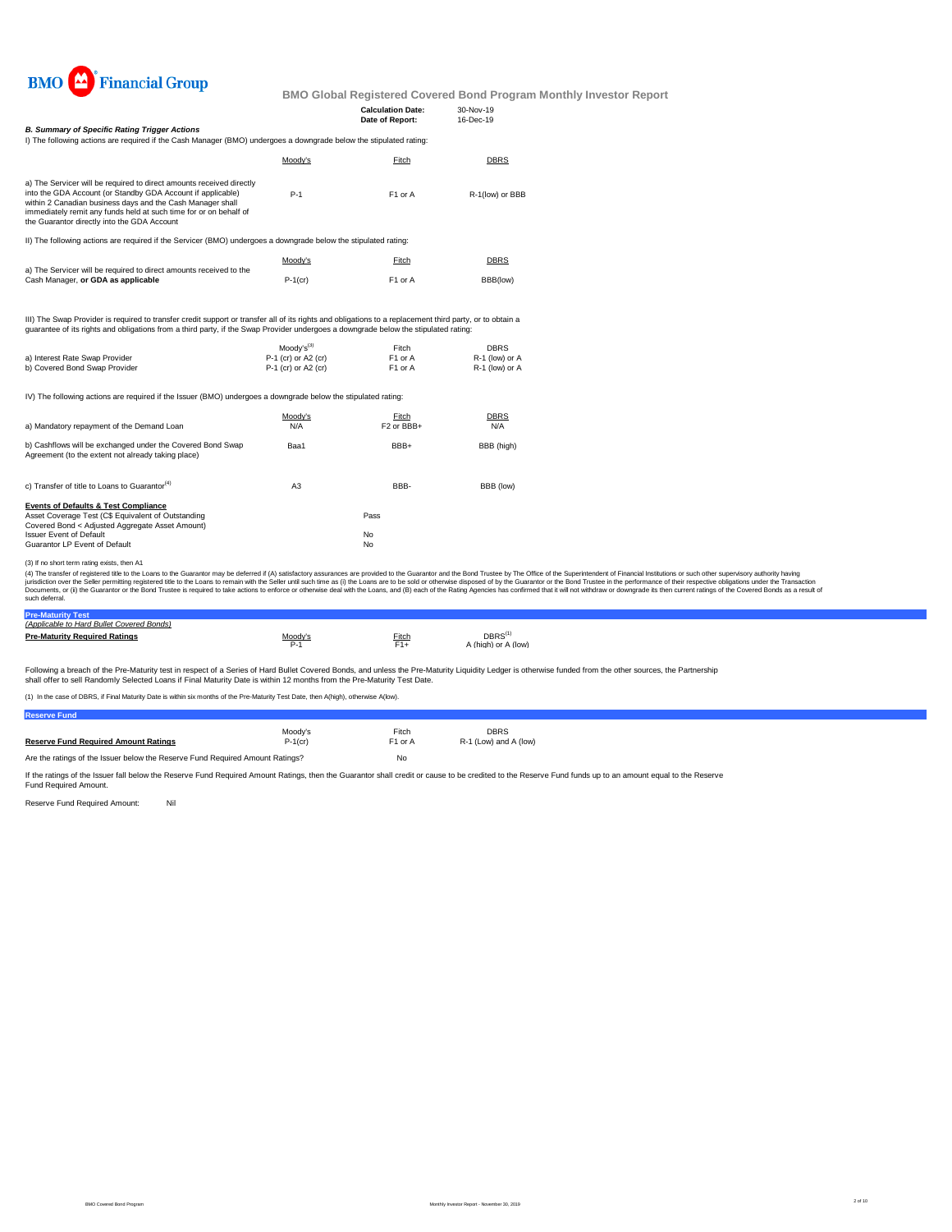

|                                                                                                                                                                                                                                                                                                                                                                    |                                                              | <b>Calculation Date:</b><br>Date of Report: | 30-Nov-19<br>16-Dec-19                          |  |
|--------------------------------------------------------------------------------------------------------------------------------------------------------------------------------------------------------------------------------------------------------------------------------------------------------------------------------------------------------------------|--------------------------------------------------------------|---------------------------------------------|-------------------------------------------------|--|
| <b>B. Summary of Specific Rating Trigger Actions</b>                                                                                                                                                                                                                                                                                                               |                                                              |                                             |                                                 |  |
| I) The following actions are required if the Cash Manager (BMO) undergoes a downgrade below the stipulated rating:                                                                                                                                                                                                                                                 |                                                              |                                             |                                                 |  |
|                                                                                                                                                                                                                                                                                                                                                                    | Moody's                                                      | Fitch                                       | DBRS                                            |  |
| a) The Servicer will be required to direct amounts received directly<br>into the GDA Account (or Standby GDA Account if applicable)<br>within 2 Canadian business days and the Cash Manager shall<br>immediately remit any funds held at such time for or on behalf of<br>the Guarantor directly into the GDA Account                                              | $P-1$                                                        | F1 or A                                     | R-1(low) or BBB                                 |  |
| II) The following actions are required if the Servicer (BMO) undergoes a downgrade below the stipulated rating:                                                                                                                                                                                                                                                    |                                                              |                                             |                                                 |  |
|                                                                                                                                                                                                                                                                                                                                                                    | Moody's                                                      | Fitch                                       | DBRS                                            |  |
| a) The Servicer will be required to direct amounts received to the<br>Cash Manager, or GDA as applicable                                                                                                                                                                                                                                                           | $P-1$ (cr)                                                   | F1 or A                                     | BBB(low)                                        |  |
| III) The Swap Provider is required to transfer credit support or transfer all of its rights and obligations to a replacement third party, or to obtain a<br>guarantee of its rights and obligations from a third party, if the Swap Provider undergoes a downgrade below the stipulated rating:<br>a) Interest Rate Swap Provider<br>b) Covered Bond Swap Provider | $Modv's^{(3)}$<br>P-1 (cr) or A2 (cr)<br>P-1 (cr) or A2 (cr) | Fitch<br>F1 or A<br>F <sub>1</sub> or A     | <b>DBRS</b><br>R-1 (low) or A<br>R-1 (low) or A |  |
| IV) The following actions are required if the Issuer (BMO) undergoes a downgrade below the stipulated rating:                                                                                                                                                                                                                                                      |                                                              |                                             |                                                 |  |
| a) Mandatory repayment of the Demand Loan                                                                                                                                                                                                                                                                                                                          | Moody's<br>N/A                                               | Fitch<br>F <sub>2</sub> or BBB+             | DBRS<br>N/A                                     |  |
| b) Cashflows will be exchanged under the Covered Bond Swap<br>Agreement (to the extent not already taking place)                                                                                                                                                                                                                                                   | Baa1                                                         | BBB+                                        | BBB (high)                                      |  |
| c) Transfer of title to Loans to Guarantor <sup>(4)</sup>                                                                                                                                                                                                                                                                                                          | A <sub>3</sub>                                               | BBB-                                        | BBB (low)                                       |  |
| <b>Events of Defaults &amp; Test Compliance</b><br>Asset Coverage Test (C\$ Equivalent of Outstanding<br>Covered Bond < Adjusted Aggregate Asset Amount)                                                                                                                                                                                                           |                                                              | Pass                                        |                                                 |  |
| <b>Issuer Event of Default</b>                                                                                                                                                                                                                                                                                                                                     |                                                              | No                                          |                                                 |  |
| Guarantor LP Event of Default                                                                                                                                                                                                                                                                                                                                      |                                                              | No                                          |                                                 |  |
| (3) If no short term rating exists, then A1                                                                                                                                                                                                                                                                                                                        |                                                              |                                             |                                                 |  |
|                                                                                                                                                                                                                                                                                                                                                                    |                                                              |                                             |                                                 |  |

(3) If no short term rating exists, then A1<br>(4) The transfer of registered title to baractor may be deferred if (A) satisfactory assurances are provided to the Guarantor and the Bond Trustee by The Office of the Superinten

| (Applicable to Hard Bullet Covered Bonds) |         |       |                     |  |  |
|-------------------------------------------|---------|-------|---------------------|--|--|
| <b>Pre-Maturity Required Ratings</b>      | Moody's | Fitch | DBRS <sup>(1</sup>  |  |  |
|                                           |         |       |                     |  |  |
|                                           |         |       |                     |  |  |
|                                           | $P-1$   | $F1+$ | A (high) or A (low) |  |  |

Following a breach of the Pre-Maturity test in respect of a Series of Hard Bullet Covered Bonds, and unless the Pre-Maturity Liquidity Ledger is otherwise funded from the other sources, the Partnership<br>shall offer to sell

(1) In the case of DBRS, if Final Maturity Date is within six months of the Pre-Maturity Test Date, then A(high), otherwise A(low).

| <b>Reserve Fund</b>                                                           |            |                     |                       |
|-------------------------------------------------------------------------------|------------|---------------------|-----------------------|
|                                                                               | Moodv's    | Fitch               | <b>DBRS</b>           |
| <b>Reserve Fund Required Amount Ratings</b>                                   | $P-1$ (cr) | F <sub>1</sub> or A | R-1 (Low) and A (low) |
| Are the ratings of the Issuer below the Reserve Fund Required Amount Ratings? | No         |                     |                       |

If the ratings of the Issuer fall below the Reserve Fund Required Amount Ratings, then the Guarantor shall credit or cause to be credited to the Reserve Fund funds up to an amount equal to the Reserve<br>Fund Required Amount.

Reserve Fund Required Amount: Nil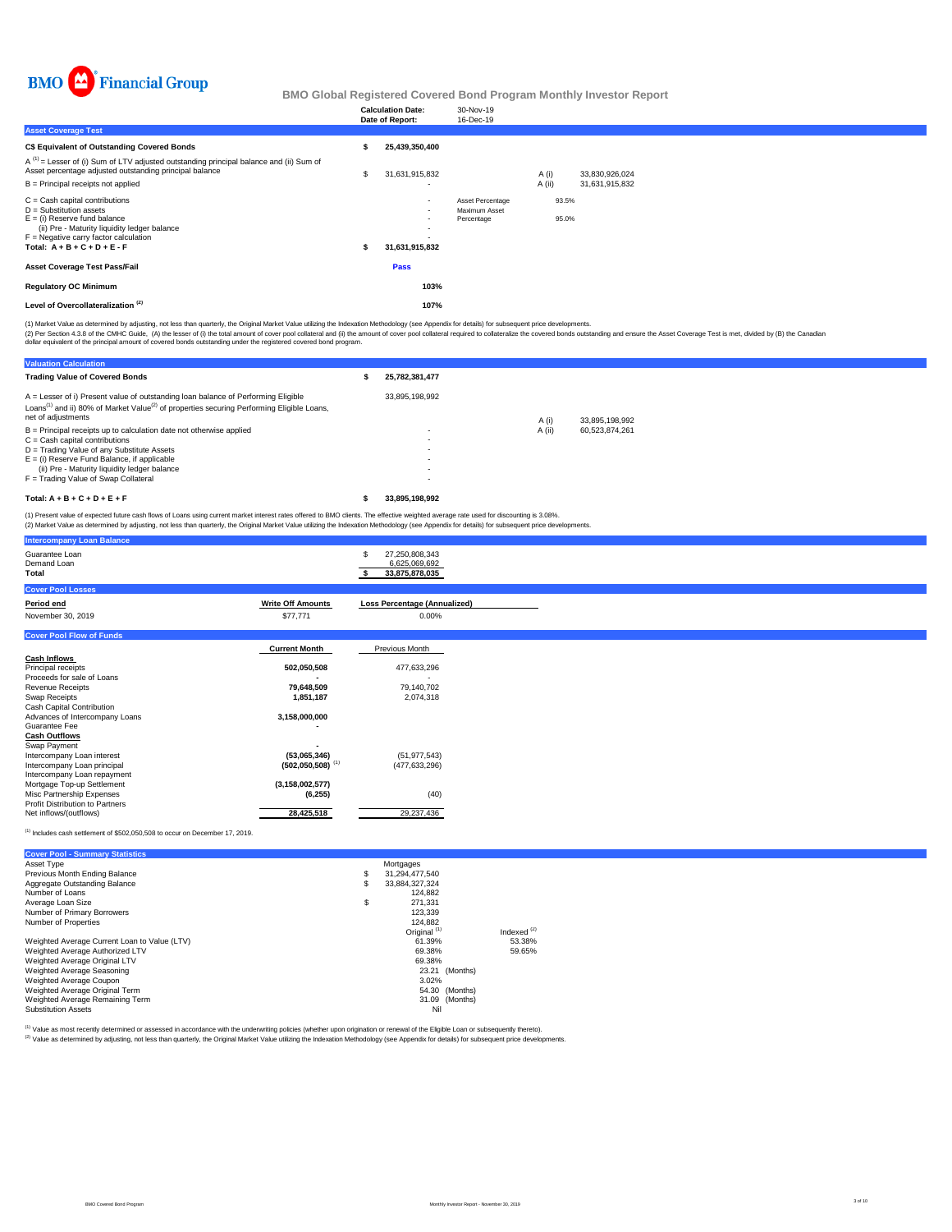

|                                                                                                                                                                                                                              |   | <b>Calculation Date:</b><br>Date of Report:                            | 30-Nov-19<br>16-Dec-19                          |                |                |  |
|------------------------------------------------------------------------------------------------------------------------------------------------------------------------------------------------------------------------------|---|------------------------------------------------------------------------|-------------------------------------------------|----------------|----------------|--|
| <b>Asset Coverage Test</b>                                                                                                                                                                                                   |   |                                                                        |                                                 |                |                |  |
| C\$ Equivalent of Outstanding Covered Bonds                                                                                                                                                                                  |   | 25,439,350,400                                                         |                                                 |                |                |  |
| $A^{(1)}$ = Lesser of (i) Sum of LTV adjusted outstanding principal balance and (ii) Sum of<br>Asset percentage adjusted outstanding principal balance                                                                       | s | 31,631,915,832                                                         |                                                 | A (i)          | 33,830,926,024 |  |
| $B =$ Principal receipts not applied                                                                                                                                                                                         |   |                                                                        |                                                 | A (ii)         | 31,631,915,832 |  |
| $C =$ Cash capital contributions<br>$D =$ Substitution assets<br>$E =$ (i) Reserve fund balance<br>(ii) Pre - Maturity liquidity ledger balance<br>$F =$ Negative carry factor calculation<br>Total: $A + B + C + D + E - F$ |   | $\overline{\phantom{a}}$<br>$\overline{\phantom{a}}$<br>31,631,915,832 | Asset Percentage<br>Maximum Asset<br>Percentage | 93.5%<br>95.0% |                |  |
| <b>Asset Coverage Test Pass/Fail</b>                                                                                                                                                                                         |   | Pass                                                                   |                                                 |                |                |  |
| <b>Regulatory OC Minimum</b>                                                                                                                                                                                                 |   | 103%                                                                   |                                                 |                |                |  |
| Level of Overcollateralization <sup>(2)</sup>                                                                                                                                                                                |   | 107%                                                                   |                                                 |                |                |  |
|                                                                                                                                                                                                                              |   |                                                                        |                                                 |                |                |  |

(1) Market Value as determined by adjusting, not less than quarterly, the Original Market Value utilizing the Indexation Methodology (see Appendix for details) for subsequent price developments.

(2) Per Section 4.3.8 of the CMHC Guide, (A) the lesser of (i) the total amount of cover pool collateral and (i)) the amount of cover pool collateral required to collateralize the covered bonds outstanding and ensure the A

| <b>Valuation Calculation</b>                                                                                                                                                                                                                                                                     |                  |        |                |
|--------------------------------------------------------------------------------------------------------------------------------------------------------------------------------------------------------------------------------------------------------------------------------------------------|------------------|--------|----------------|
| <b>Trading Value of Covered Bonds</b>                                                                                                                                                                                                                                                            | 25,782,381,477   |        |                |
| A = Lesser of i) Present value of outstanding loan balance of Performing Eligible<br>Loans <sup>(1)</sup> and ii) 80% of Market Value <sup>(2)</sup> of properties securing Performing Eligible Loans,<br>net of adjustments                                                                     | 33.895.198.992   | A (i)  | 33.895.198.992 |
| $B =$ Principal receipts up to calculation date not otherwise applied<br>$C =$ Cash capital contributions<br>D = Trading Value of any Substitute Assets<br>$E =$ (i) Reserve Fund Balance, if applicable<br>(ii) Pre - Maturity liquidity ledger balance<br>F = Trading Value of Swap Collateral | ۰<br>۰<br>٠<br>٠ | A (ii) | 60.523.874.261 |
| Total: $A + B + C + D + E + F$                                                                                                                                                                                                                                                                   | 33.895.198.992   |        |                |
| (1) Present value of expected future cash flows of Loans using current market interest rates offered to RMO clients. The effective weighted average rate used for discounting is 3,08%                                                                                                           |                  |        |                |

(1) Present value of expected future cash flows of Loans using current market interest rates offered to BMO clients. The effective weighted average rate used for discounting is 3.08%.<br>(2) Market Value as determined by adju

| <b>Intercompany Loan Balance</b>                |                                |                                                   |
|-------------------------------------------------|--------------------------------|---------------------------------------------------|
| Guarantee Loan<br>Demand Loan<br>Total          |                                | 27,250,808,343<br>6,625,069,692<br>33,875,878,035 |
| <b>Cover Pool Losses</b>                        |                                |                                                   |
| Period end                                      | <b>Write Off Amounts</b>       | <b>Loss Percentage (Annualized)</b>               |
| November 30, 2019                               | \$77,771                       | $0.00\%$                                          |
| <b>Cover Pool Flow of Funds</b>                 |                                |                                                   |
|                                                 | <b>Current Month</b>           | Previous Month                                    |
| <b>Cash Inflows</b>                             |                                |                                                   |
| Principal receipts                              | 502,050,508                    | 477,633,296                                       |
| Proceeds for sale of Loans                      |                                |                                                   |
| Revenue Receipts                                | 79,648,509                     | 79,140,702                                        |
| Swap Receipts                                   | 1,851,187                      | 2,074,318                                         |
| Cash Capital Contribution                       |                                |                                                   |
| Advances of Intercompany Loans<br>Guarantee Fee | 3,158,000,000                  |                                                   |
| <b>Cash Outflows</b>                            |                                |                                                   |
| Swap Payment                                    |                                |                                                   |
| Intercompany Loan interest                      | (53,065,346)                   | (51, 977, 543)                                    |
| Intercompany Loan principal                     | $(502,050,508)$ <sup>(1)</sup> | (477, 633, 296)                                   |
| Intercompany Loan repayment                     |                                |                                                   |
| Mortgage Top-up Settlement                      | (3, 158, 002, 577)             |                                                   |
| Misc Partnership Expenses                       | (6, 255)                       | (40)                                              |
| <b>Profit Distribution to Partners</b>          |                                |                                                   |
| Net inflows/(outflows)                          | 28,425,518                     | 29,237,436                                        |
|                                                 |                                |                                                   |

 $^{(1)}$  Includes cash settlement of \$502,050,508 to occur on December 17, 2019.

| <b>Cover Pool - Summary Statistics</b>       |    |                         |               |
|----------------------------------------------|----|-------------------------|---------------|
| Asset Type                                   |    | Mortgages               |               |
| Previous Month Ending Balance                | \$ | 31.294.477.540          |               |
| Aggregate Outstanding Balance                | S  | 33.884.327.324          |               |
| Number of Loans                              |    | 124.882                 |               |
| Average Loan Size                            | \$ | 271.331                 |               |
| Number of Primary Borrowers                  |    | 123.339                 |               |
| Number of Properties                         |    | 124.882                 |               |
|                                              |    | Original <sup>(1)</sup> | Indexed $(2)$ |
| Weighted Average Current Loan to Value (LTV) |    | 61.39%                  | 53.38%        |
| Weighted Average Authorized LTV              |    | 69.38%                  | 59.65%        |
| Weighted Average Original LTV                |    | 69.38%                  |               |
| Weighted Average Seasoning                   |    | 23.21 (Months)          |               |
| Weighted Average Coupon                      |    | 3.02%                   |               |
| Weighted Average Original Term               |    | 54.30 (Months)          |               |
| Weighted Average Remaining Term              |    | 31.09 (Months)          |               |
| <b>Substitution Assets</b>                   |    | Nil                     |               |

<sup>(1)</sup> Value as most recently determined or assessed in accordance with the underwriting policies (whether upon origination or renewal of the Eligible Loan or subsequently thereto).<br><sup>(2)</sup> Value as determined by adjusting, n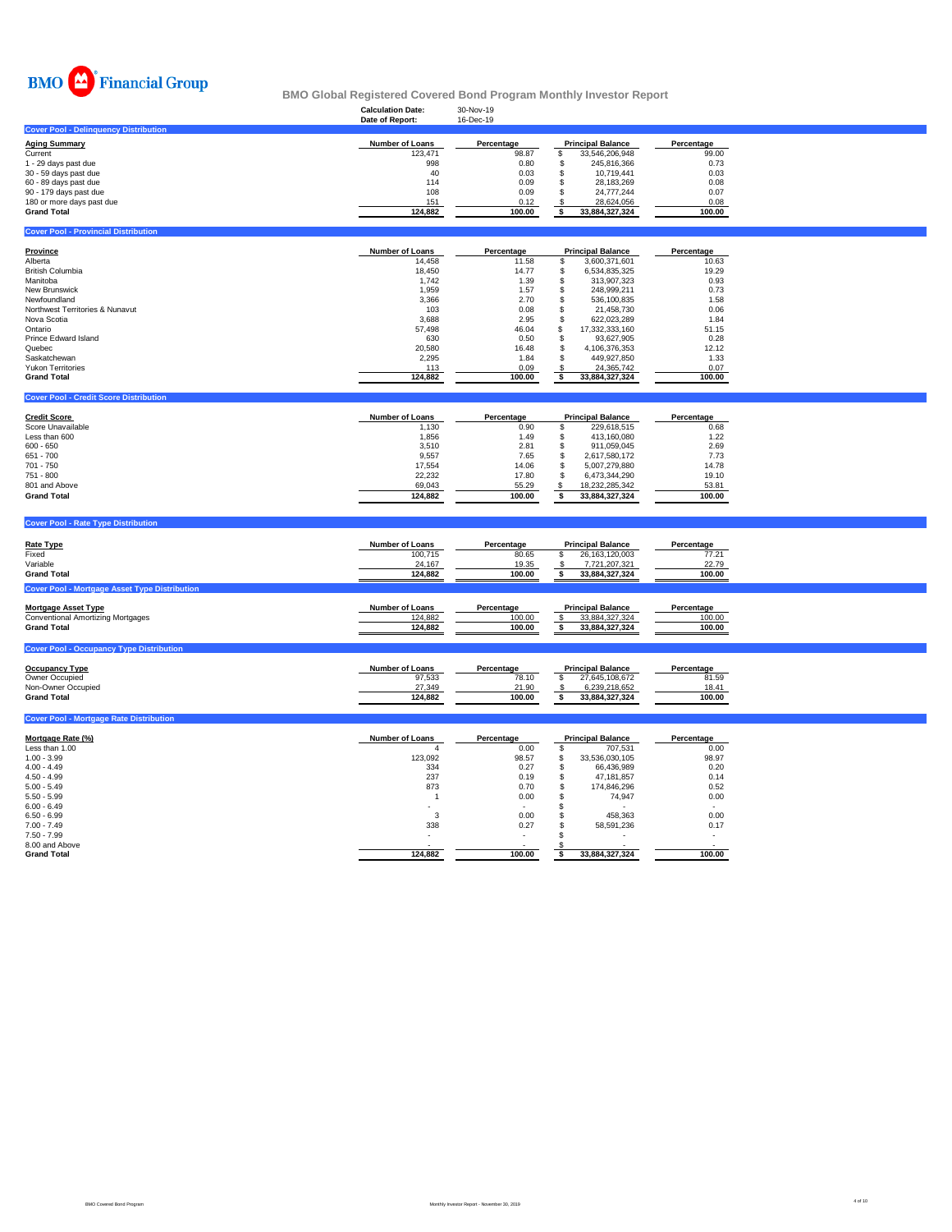

#### **Calculation Date:** 30-Nov-19 **BMO Global Registered Covered Bond Program Monthly Investor Report**

|                                                         | Date of Report:        | 16-Dec-19        |                                                       |                  |  |
|---------------------------------------------------------|------------------------|------------------|-------------------------------------------------------|------------------|--|
| <b>Cover Pool - Delinquency Distribution</b>            |                        |                  |                                                       |                  |  |
| <b>Aging Summary</b>                                    | Number of Loans        | Percentage       | <b>Principal Balance</b>                              | Percentage       |  |
| Current                                                 | 123,471                | 98.87            | \$<br>33,546,206,948                                  | 99.00            |  |
| 1 - 29 days past due                                    | 998                    | 0.80             | \$<br>245,816,366                                     | 0.73             |  |
| 30 - 59 days past due                                   | 40                     | 0.03             | $\ddot{\$}$<br>10,719,441                             | 0.03             |  |
| 60 - 89 days past due                                   | 114                    | 0.09             | \$<br>28,183,269                                      | 0.08             |  |
| 90 - 179 days past due                                  | 108                    | 0.09             | \$<br>24,777,244                                      | 0.07             |  |
| 180 or more days past due                               | 151                    | 0.12             | \$<br>28,624,056                                      | 0.08             |  |
| <b>Grand Total</b>                                      | 124,882                | 100.00           | 33,884,327,324<br>\$                                  | 100.00           |  |
| <b>Cover Pool - Provincial Distribution</b>             |                        |                  |                                                       |                  |  |
|                                                         |                        |                  |                                                       |                  |  |
| <b>Province</b>                                         | Number of Loans        | Percentage       | <b>Principal Balance</b>                              | Percentage       |  |
| Alberta                                                 | 14,458                 | 11.58            | \$<br>3,600,371,601                                   | 10.63            |  |
| British Columbia                                        | 18,450                 | 14.77            | \$<br>6,534,835,325                                   | 19.29            |  |
| Manitoba                                                | 1,742                  | 1.39             | \$<br>313,907,323                                     | 0.93             |  |
| New Brunswick                                           | 1,959                  | 1.57             | \$<br>248,999,211                                     | 0.73             |  |
| Newfoundland                                            | 3,366                  | 2.70             | \$<br>536,100,835                                     | 1.58             |  |
| Northwest Territories & Nunavut                         | 103                    | 0.08             | \$<br>21,458,730                                      | 0.06             |  |
| Nova Scotia                                             | 3,688                  | 2.95             | \$<br>622,023,289                                     | 1.84             |  |
| Ontario                                                 | 57,498                 | 46.04            | \$<br>17,332,333,160                                  | 51.15            |  |
| Prince Edward Island                                    | 630                    | 0.50             | \$<br>93,627,905                                      | 0.28             |  |
| Quebec                                                  | 20,580                 | 16.48            | \$<br>4,106,376,353                                   | 12.12            |  |
| Saskatchewan                                            | 2,295                  | 1.84             | \$<br>449,927,850                                     | 1.33             |  |
| <b>Yukon Territories</b>                                | 113                    | 0.09             | 24,365,742<br>\$                                      | 0.07             |  |
| <b>Grand Total</b>                                      | 124,882                | 100.00           | \$<br>33,884,327,324                                  | 100.00           |  |
| <b>Cover Pool - Credit Score Distribution</b>           |                        |                  |                                                       |                  |  |
|                                                         |                        |                  |                                                       |                  |  |
| <b>Credit Score</b>                                     | Number of Loans        | Percentage       | <b>Principal Balance</b>                              | Percentage       |  |
| Score Unavailable                                       | 1,130                  | 0.90             | \$<br>229,618,515                                     | 0.68             |  |
| Less than 600                                           | 1,856                  | 1.49             | \$<br>413,160,080                                     | 1.22             |  |
| $600 - 650$                                             | 3,510                  | 2.81             | \$<br>911,059,045                                     | 2.69             |  |
| 651 - 700                                               | 9,557                  | 7.65             | 2,617,580,172<br>\$                                   | 7.73             |  |
| 701 - 750                                               | 17,554                 | 14.06            | 5,007,279,880<br>\$                                   | 14.78            |  |
| 751 - 800                                               | 22,232                 | 17.80            | 6,473,344,290<br>\$                                   | 19.10            |  |
| 801 and Above                                           | 69,043                 | 55.29            | 18,232,285,342<br>\$                                  | 53.81            |  |
| <b>Grand Total</b>                                      | 124,882                | 100.00           | \$<br>33,884,327,324                                  | 100.00           |  |
|                                                         |                        |                  |                                                       |                  |  |
| <b>Cover Pool - Rate Type Distribution</b>              |                        |                  |                                                       |                  |  |
|                                                         |                        |                  |                                                       |                  |  |
| Rate Type                                               | Number of Loans        | Percentage       | <b>Principal Balance</b>                              | Percentage       |  |
| Fixed                                                   | 100,715                | 80.65            | \$<br>26,163,120,003                                  | 77.21            |  |
| Variable                                                | 24,167                 | 19.35            | 7,721,207,321<br>-S                                   | 22.79            |  |
| <b>Grand Total</b>                                      | 124,882                | 100.00           | \$<br>33,884,327,324                                  | 100.00           |  |
| <b>Cover Pool - Mortgage Asset Type Distribution</b>    |                        |                  |                                                       |                  |  |
|                                                         |                        |                  |                                                       |                  |  |
| <b>Mortgage Asset Type</b>                              | Number of Loans        | Percentage       | <b>Principal Balance</b>                              | Percentage       |  |
| Conventional Amortizing Mortgages<br><b>Grand Total</b> | 124,882                | 100.00<br>100.00 | $\sqrt{3}$<br>33,884,327,324<br>33,884,327,324<br>\$. | 100.00<br>100.00 |  |
|                                                         | 124,882                |                  |                                                       |                  |  |
| <b>Cover Pool - Occupancy Type Distribution</b>         |                        |                  |                                                       |                  |  |
|                                                         |                        |                  |                                                       |                  |  |
| <b>Occupancy Type</b>                                   | <b>Number of Loans</b> | Percentage       | <b>Principal Balance</b>                              | Percentage       |  |
| Owner Occupied                                          | 97,533                 | 78.10            | \$<br>27,645,108,672                                  | 81.59            |  |
| Non-Owner Occupied                                      | 27,349                 | 21.90            | 6,239,218,652                                         | 18.41            |  |
| <b>Grand Total</b>                                      | 124,882                | 100.00           | \$<br>33,884,327,324                                  | 100.00           |  |
| <b>Cover Pool - Mortgage Rate Distribution</b>          |                        |                  |                                                       |                  |  |
|                                                         |                        |                  |                                                       |                  |  |
| Mortgage Rate (%)                                       | <b>Number of Loans</b> | Percentage       | <b>Principal Balance</b>                              | Percentage       |  |
| Less than 1.00                                          | $\Delta$               | 0.00             | \$<br>707,531                                         | 0.00             |  |
| $1.00 - 3.99$                                           | 123,092                | 98.57            | \$<br>33,536,030,105                                  | 98.97            |  |
| $4.00 - 4.49$                                           | 334                    | 0.27             | \$<br>66,436,989                                      | 0.20             |  |
| $4.50 - 4.99$                                           | 237                    | 0.19             | \$<br>47, 181, 857                                    | 0.14             |  |
| $5.00 - 5.49$                                           | 873                    | 0.70             | \$<br>174,846,296                                     | 0.52             |  |
| $5.50 - 5.99$                                           | $\mathbf{1}$           | 0.00             | \$<br>74,947                                          | 0.00             |  |
| $6.00 - 6.49$                                           |                        |                  | \$                                                    |                  |  |
| $6.50 - 6.99$                                           | 3                      | 0.00             | \$<br>458,363                                         | 0.00             |  |
| $7.00 - 7.49$                                           | 338                    | 0.27             | \$<br>58,591,236                                      | 0.17             |  |
| $7.50 - 7.99$                                           |                        |                  | \$                                                    |                  |  |
| 8.00 and Above<br><b>Grand Total</b>                    | 124.882                | 100.00           | -S<br>\$<br>33.884.327.324                            | 100.00           |  |
|                                                         |                        |                  |                                                       |                  |  |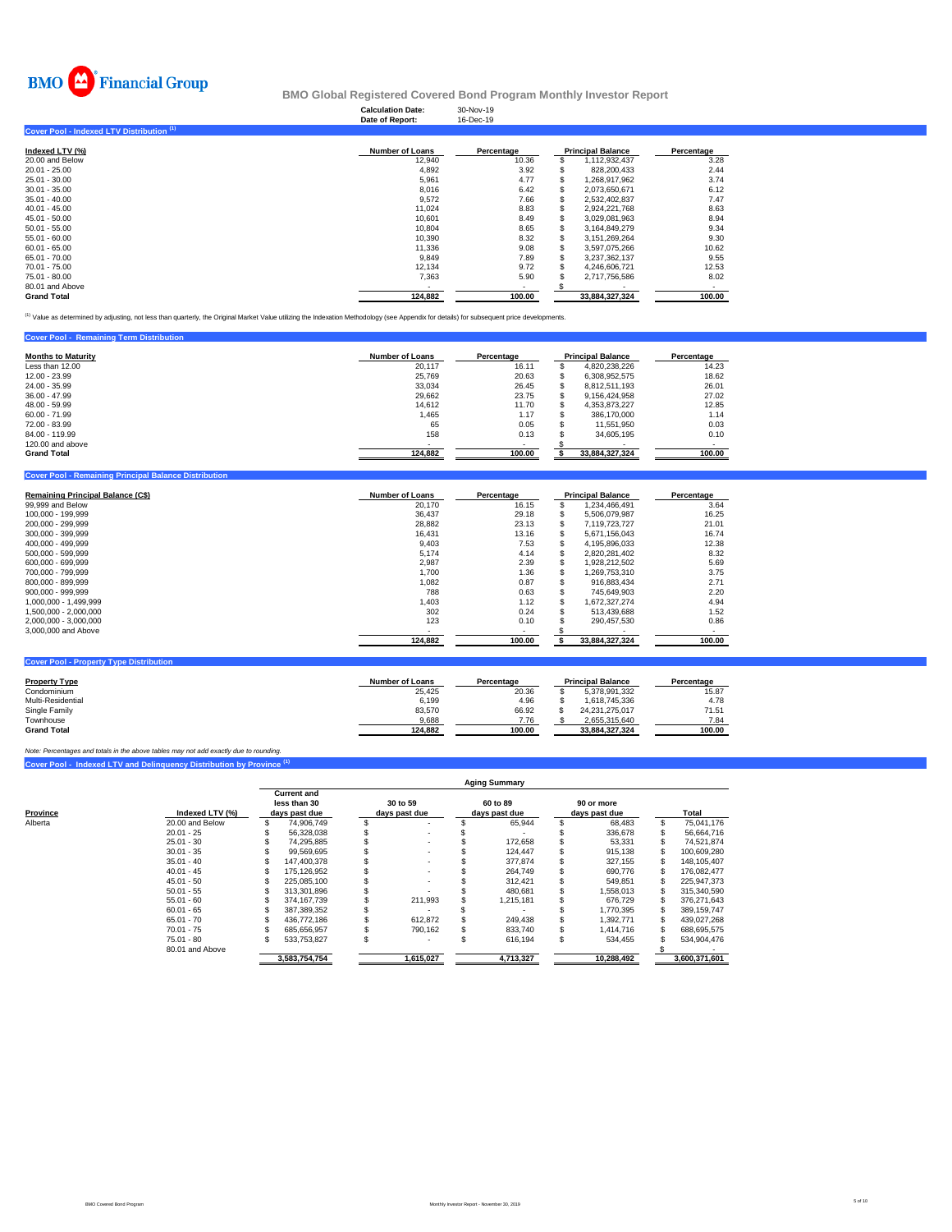

|                                           | <b>Calculation Date:</b><br>Date of Report: | 30-Nov-19<br>16-Dec-19 |                          |            |
|-------------------------------------------|---------------------------------------------|------------------------|--------------------------|------------|
| Cover Pool - Indexed LTV Distribution (1) |                                             |                        |                          |            |
| Indexed LTV (%)                           | <b>Number of Loans</b>                      | Percentage             | <b>Principal Balance</b> | Percentage |
| 20.00 and Below                           | 12,940                                      | 10.36                  | 1,112,932,437            | 3.28       |
| 20.01 - 25.00                             | 4,892                                       | 3.92                   | 828,200,433              | 2.44       |
| 25.01 - 30.00                             | 5,961                                       | 4.77                   | 1,268,917,962            | 3.74       |
| 30.01 - 35.00                             | 8,016                                       | 6.42                   | 2,073,650,671            | 6.12       |
| 35.01 - 40.00                             | 9,572                                       | 7.66                   | 2,532,402,837            | 7.47       |
| 40.01 - 45.00                             | 11.024                                      | 8.83                   | 2,924,221,768            | 8.63       |
| 45.01 - 50.00                             | 10,601                                      | 8.49                   | 3,029,081,963            | 8.94       |
| 50.01 - 55.00                             | 10,804                                      | 8.65                   | 3,164,849,279            | 9.34       |
| 55.01 - 60.00                             | 10,390                                      | 8.32                   | 3,151,269,264            | 9.30       |
| 60.01 - 65.00                             | 11,336                                      | 9.08                   | 3,597,075,266            | 10.62      |
| 65.01 - 70.00                             | 9,849                                       | 7.89                   | 3,237,362,137            | 9.55       |
| 70.01 - 75.00                             | 12,134                                      | 9.72                   | 4,246,606,721            | 12.53      |
| 75.01 - 80.00                             | 7,363                                       | 5.90                   | 2,717,756,586            | 8.02       |
| 80.01 and Above                           | ۰                                           | $\blacksquare$         |                          |            |
| <b>Grand Total</b>                        | 124.882                                     | 100.00                 | 33.884.327.324           | 100.00     |

<sup>(1)</sup> Value as determined by adjusting, not less than quarterly, the Original Market Value utilizing the Indexation Methodology (see Appendix for details) for subsequent price developments.

| <b>Cover Pool - Remaining Term Distribution</b> |                        |            |                          |            |  |  |
|-------------------------------------------------|------------------------|------------|--------------------------|------------|--|--|
| <b>Months to Maturity</b>                       | <b>Number of Loans</b> | Percentage | <b>Principal Balance</b> | Percentage |  |  |
| Less than 12.00                                 | 20.117                 | 16.11      | 4,820,238,226            | 14.23      |  |  |
| 12.00 - 23.99                                   | 25.769                 | 20.63      | 6.308.952.575            | 18.62      |  |  |
| 24.00 - 35.99                                   | 33.034                 | 26.45      | 8,812,511,193            | 26.01      |  |  |
| $36.00 - 47.99$                                 | 29,662                 | 23.75      | 9,156,424,958            | 27.02      |  |  |
| 48.00 - 59.99                                   | 14.612                 | 11.70      | 4.353.873.227            | 12.85      |  |  |
| $60.00 - 71.99$                                 | 1.465                  | 1.17       | 386,170,000              | 1.14       |  |  |
| 72.00 - 83.99                                   | 65                     | 0.05       | 11.551.950               | 0.03       |  |  |
| 84.00 - 119.99                                  | 158                    | 0.13       | 34,605.195               | 0.10       |  |  |
| 120,00 and above                                |                        |            |                          |            |  |  |
| <b>Grand Total</b>                              | 124,882                | 100.00     | 33,884,327,324           | 100.00     |  |  |

| <b>Cover Pool - Remaining Principal Balance Distribution</b> |                        |                          |    |                          |            |
|--------------------------------------------------------------|------------------------|--------------------------|----|--------------------------|------------|
| Remaining Principal Balance (C\$)                            | <b>Number of Loans</b> | Percentage               |    | <b>Principal Balance</b> | Percentage |
| 99,999 and Below                                             | 20.170                 | 16.15                    |    | 1,234,466,491            | 3.64       |
| 100,000 - 199,999                                            | 36,437                 | 29.18                    |    | 5,506,079,987            | 16.25      |
| 200,000 - 299,999                                            | 28,882                 | 23.13                    |    | 7,119,723,727            | 21.01      |
| 300,000 - 399,999                                            | 16,431                 | 13.16                    |    | 5,671,156,043            | 16.74      |
| 400.000 - 499.999                                            | 9,403                  | 7.53                     |    | 4,195,896,033            | 12.38      |
| 500.000 - 599.999                                            | 5,174                  | 4.14                     | \$ | 2,820,281,402            | 8.32       |
| 600.000 - 699.999                                            | 2,987                  | 2.39                     | S  | 1,928,212,502            | 5.69       |
| 700.000 - 799.999                                            | 1.700                  | 1.36                     |    | 1,269,753,310            | 3.75       |
| 800,000 - 899,999                                            | 1,082                  | 0.87                     |    | 916,883,434              | 2.71       |
| 900,000 - 999,999                                            | 788                    | 0.63                     |    | 745,649,903              | 2.20       |
| 1.000.000 - 1.499.999                                        | 1.403                  | 1.12                     |    | 1,672,327,274            | 4.94       |
| 1,500,000 - 2,000,000                                        | 302                    | 0.24                     |    | 513,439,688              | 1.52       |
| 2,000,000 - 3,000,000                                        | 123                    | 0.10                     |    | 290,457,530              | 0.86       |
| 3,000,000 and Above                                          |                        | $\overline{\phantom{a}}$ |    |                          | $\sim$     |
|                                                              | 124,882                | 100.00                   |    | 33,884,327,324           | 100.00     |
|                                                              |                        |                          |    |                          |            |
| <b>Cover Pool - Property Type Distribution</b>               |                        |                          |    |                          |            |

| <b>Property Type</b> | <b>Number of Loans</b> | Percentage | <b>Principal Balance</b> | Percentage |
|----------------------|------------------------|------------|--------------------------|------------|
| Condominium          | 25.425                 | 20.36      | 5.378.991.332            | 15.87      |
| Multi-Residential    | 6.199                  | 4.96       | 1.618.745.336            | 4.78       |
| Single Family        | 83,570                 | 66.92      | 24.231.275.017           | 71.51      |
| Townhouse            | 9,688                  | 7.76       | 2.655.315.640            | 7.84       |
| <b>Grand Total</b>   | 124.882                | 100.00     | 33.884.327.324           | 100.00     |

**Cover Pool - Indexed LTV and Delinquency Distribution by Province (1)** *Note: Percentages and totals in the above tables may not add exactly due to rounding.*

|          |                 | <b>Aging Summary</b> |                                                     |  |                           |  |                           |  |                             |               |             |  |  |  |
|----------|-----------------|----------------------|-----------------------------------------------------|--|---------------------------|--|---------------------------|--|-----------------------------|---------------|-------------|--|--|--|
| Province | Indexed LTV (%) |                      | <b>Current and</b><br>less than 30<br>davs past due |  | 30 to 59<br>days past due |  | 60 to 89<br>days past due |  | 90 or more<br>days past due |               | Total       |  |  |  |
| Alberta  | 20.00 and Below |                      | 74.906.749                                          |  |                           |  | 65.944                    |  | 68.483                      |               | 75.041.176  |  |  |  |
|          | $20.01 - 25$    |                      | 56.328.038                                          |  |                           |  |                           |  | 336.678                     |               | 56,664,716  |  |  |  |
|          | $25.01 - 30$    |                      | 74.295.885                                          |  |                           |  | 172.658                   |  | 53.331                      |               | 74.521.874  |  |  |  |
|          | $30.01 - 35$    |                      | 99.569.695                                          |  |                           |  | 124.447                   |  | 915,138                     |               | 100,609,280 |  |  |  |
|          | $35.01 - 40$    |                      | 147.400.378                                         |  |                           |  | 377.874                   |  | 327.155                     |               | 148.105.407 |  |  |  |
|          | $40.01 - 45$    |                      | 175.126.952                                         |  |                           |  | 264.749                   |  | 690.776                     |               | 176.082.477 |  |  |  |
|          | $45.01 - 50$    |                      | 225.085.100                                         |  |                           |  | 312.421                   |  | 549.851                     |               | 225,947,373 |  |  |  |
|          | $50.01 - 55$    |                      | 313.301.896                                         |  |                           |  | 480.681                   |  | 1.558.013                   |               | 315,340,590 |  |  |  |
|          | $55.01 - 60$    |                      | 374.167.739                                         |  | 211,993                   |  | 1,215,181                 |  | 676.729                     |               | 376.271.643 |  |  |  |
|          | $60.01 - 65$    |                      | 387,389,352                                         |  |                           |  |                           |  | 1,770,395                   |               | 389,159,747 |  |  |  |
|          | $65.01 - 70$    |                      | 436.772.186                                         |  | 612,872                   |  | 249.438                   |  | 1.392.771                   |               | 439,027,268 |  |  |  |
|          | $70.01 - 75$    |                      | 685.656.957                                         |  | 790,162                   |  | 833,740                   |  | 1.414.716                   |               | 688.695.575 |  |  |  |
|          | $75.01 - 80$    |                      | 533.753.827                                         |  |                           |  | 616.194                   |  | 534.455                     |               | 534,904,476 |  |  |  |
|          | 80.01 and Above |                      |                                                     |  |                           |  |                           |  |                             |               |             |  |  |  |
|          |                 | 3.583.754.754        |                                                     |  | 1,615,027                 |  | 4,713,327                 |  | 10.288.492                  | 3.600.371.601 |             |  |  |  |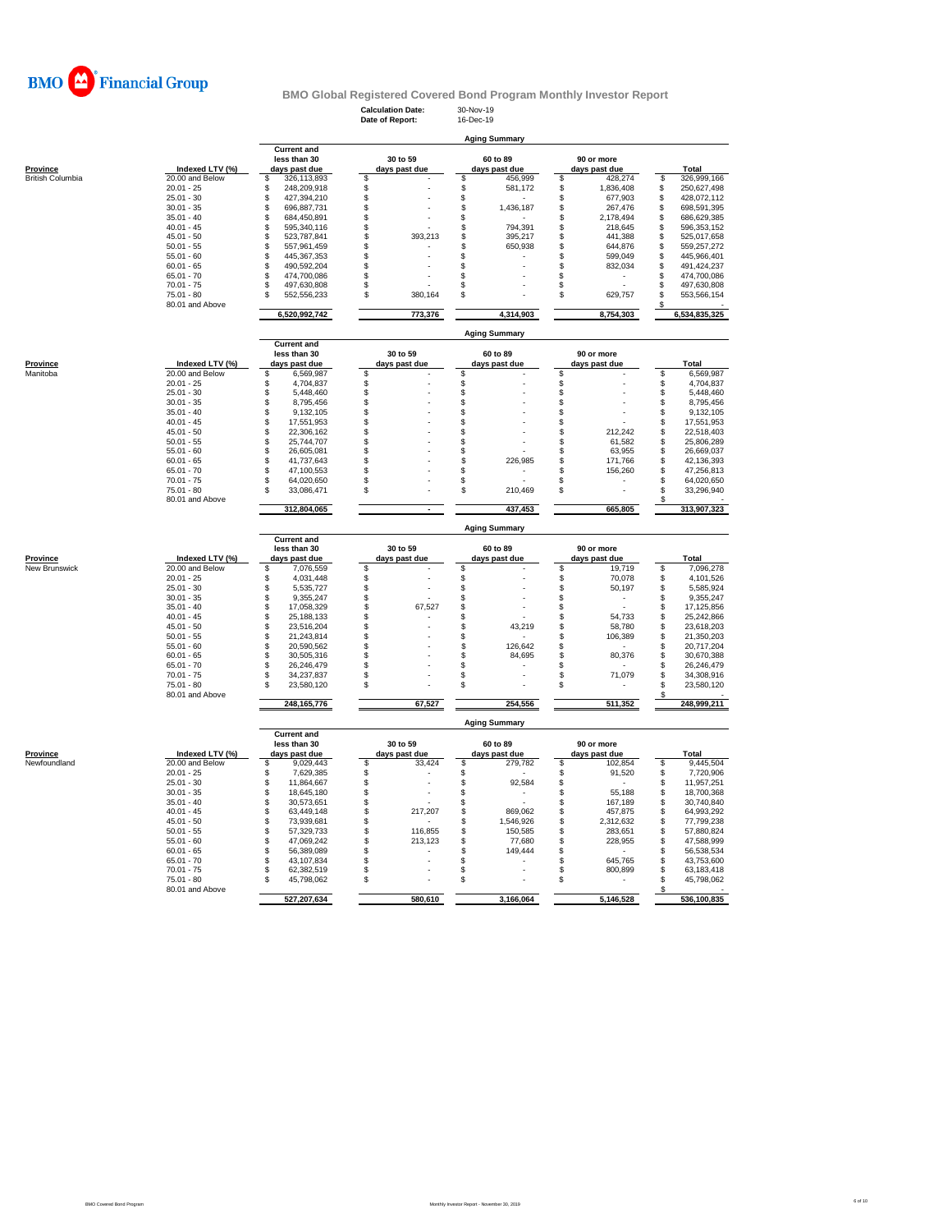

**Calculation Date:** 30-Nov-19 **Date of Report:** 16-Dec-19

|                  |                                 | <b>Aging Summary</b>                   |                                      |                                                |                                  |                                        |  |  |  |  |  |  |
|------------------|---------------------------------|----------------------------------------|--------------------------------------|------------------------------------------------|----------------------------------|----------------------------------------|--|--|--|--|--|--|
|                  |                                 | <b>Current and</b>                     |                                      |                                                |                                  |                                        |  |  |  |  |  |  |
|                  |                                 | less than 30                           | 30 to 59                             | 60 to 89                                       | 90 or more                       |                                        |  |  |  |  |  |  |
| Province         | Indexed LTV (%)                 | days past due                          | days past due                        | days past due                                  | days past due                    | Total                                  |  |  |  |  |  |  |
| British Columbia | 20.00 and Below<br>$20.01 - 25$ | \$<br>326,113,893<br>\$<br>248,209,918 | \$<br>\$                             | \$<br>456,999<br>\$<br>581,172                 | \$<br>428,274<br>\$<br>1,836,408 | \$<br>326,999,166<br>250,627,498<br>\$ |  |  |  |  |  |  |
|                  | $25.01 - 30$                    | \$<br>427,394,210                      | $\ddot{s}$                           | $\ddot{s}$                                     | \$<br>677,903                    | \$<br>428,072,112                      |  |  |  |  |  |  |
|                  | $30.01 - 35$                    | \$<br>696,887,731                      | \$                                   | \$<br>1,436,187                                | \$<br>267,476                    | \$<br>698,591,395                      |  |  |  |  |  |  |
|                  | $35.01 - 40$                    | \$<br>684,450,891                      | \$                                   | \$                                             | \$<br>2,178,494                  | \$<br>686,629,385                      |  |  |  |  |  |  |
|                  | $40.01 - 45$                    | \$<br>595,340,116                      | \$                                   | \$<br>794,391                                  | \$<br>218,645                    | \$<br>596,353,152                      |  |  |  |  |  |  |
|                  | $45.01 - 50$                    | \$<br>523,787,841                      | \$<br>393,213                        | \$<br>395,217                                  | \$<br>441,388                    | \$<br>525,017,658                      |  |  |  |  |  |  |
|                  | $50.01 - 55$                    | \$<br>557.961.459                      | \$                                   | 650,938<br>\$                                  | \$<br>644,876                    | 559.257.272<br>\$                      |  |  |  |  |  |  |
|                  | $55.01 - 60$                    | \$<br>445,367,353                      | \$                                   | \$                                             | \$<br>599,049                    | \$<br>445,966,401                      |  |  |  |  |  |  |
|                  | $60.01 - 65$                    | \$<br>490,592,204                      | \$                                   | \$                                             | \$<br>832,034                    | 491,424,237<br>\$                      |  |  |  |  |  |  |
|                  | $65.01 - 70$<br>$70.01 - 75$    | \$<br>474,700,086<br>\$<br>497,630,808 | \$<br>\$                             | \$<br>\$                                       | \$<br>\$                         | \$<br>474,700,086<br>\$<br>497,630,808 |  |  |  |  |  |  |
|                  | 75.01 - 80                      | \$<br>552,556,233                      | \$<br>380,164                        | \$                                             | \$<br>629,757                    | \$<br>553,566,154                      |  |  |  |  |  |  |
|                  | 80.01 and Above                 |                                        |                                      |                                                |                                  | S                                      |  |  |  |  |  |  |
|                  |                                 | 6,520,992,742                          | 773,376                              | 4.314.903                                      | 8,754,303                        | 6,534,835,325                          |  |  |  |  |  |  |
|                  |                                 |                                        |                                      | <b>Aging Summary</b>                           |                                  |                                        |  |  |  |  |  |  |
|                  |                                 | <b>Current and</b>                     |                                      |                                                |                                  |                                        |  |  |  |  |  |  |
|                  |                                 | less than 30                           | 30 to 59                             | 60 to 89                                       | 90 or more                       |                                        |  |  |  |  |  |  |
| Province         | Indexed LTV (%)                 | days past due                          | days past due                        | days past due                                  | days past due                    | Total                                  |  |  |  |  |  |  |
| Manitoba         | 20.00 and Below                 | \$<br>6,569,987                        | \$                                   | \$                                             | \$                               | \$<br>6,569,987                        |  |  |  |  |  |  |
|                  | $20.01 - 25$                    | \$<br>4,704,837                        | \$                                   | \$                                             | \$                               | \$<br>4,704,837                        |  |  |  |  |  |  |
|                  | $25.01 - 30$                    | \$<br>5,448,460                        | \$                                   | $\ddot{\$}$                                    | \$                               | \$<br>5,448,460                        |  |  |  |  |  |  |
|                  | $30.01 - 35$                    | \$<br>8,795,456                        | \$                                   | \$                                             | \$                               | 8,795,456<br>\$                        |  |  |  |  |  |  |
|                  | $35.01 - 40$                    | \$<br>9,132,105                        | \$                                   | \$                                             | \$                               | \$<br>9,132,105                        |  |  |  |  |  |  |
|                  | $40.01 - 45$                    | \$<br>17,551,953                       | \$                                   | \$                                             | \$                               | \$<br>17,551,953                       |  |  |  |  |  |  |
|                  | $45.01 - 50$                    | \$<br>22,306,162                       | \$                                   | \$                                             | \$<br>212,242                    | \$<br>22,518,403                       |  |  |  |  |  |  |
|                  | $50.01 - 55$                    | \$<br>25,744,707                       | \$                                   | \$                                             | \$<br>61,582                     | \$<br>25,806,289<br>Ŝ                  |  |  |  |  |  |  |
|                  | $55.01 - 60$<br>$60.01 - 65$    | \$<br>26,605,081<br>\$                 | \$                                   | \$<br>226,985                                  | \$<br>63,955<br>\$<br>171,766    | 26,669,037<br>\$                       |  |  |  |  |  |  |
|                  | $65.01 - 70$                    | 41,737,643<br>\$<br>47,100,553         | \$<br>\$                             | \$<br>\$                                       | \$<br>156,260                    | 42,136,393<br>47,256,813<br>S          |  |  |  |  |  |  |
|                  | $70.01 - 75$                    | \$<br>64,020,650                       | S                                    | \$                                             | \$                               | 64,020,650<br>S                        |  |  |  |  |  |  |
|                  | $75.01 - 80$                    | S<br>33,086,471                        | \$                                   | \$<br>210,469                                  | \$                               | Ŝ<br>33,296,940                        |  |  |  |  |  |  |
|                  | 80.01 and Above                 |                                        |                                      |                                                |                                  |                                        |  |  |  |  |  |  |
|                  |                                 | 312,804,065                            |                                      | 437,453                                        | 665,805                          | 313,907,323                            |  |  |  |  |  |  |
|                  |                                 |                                        |                                      | <b>Aging Summary</b>                           |                                  |                                        |  |  |  |  |  |  |
|                  |                                 | <b>Current and</b>                     |                                      |                                                |                                  |                                        |  |  |  |  |  |  |
|                  |                                 |                                        |                                      |                                                |                                  |                                        |  |  |  |  |  |  |
|                  |                                 | less than 30                           | 30 to 59                             | 60 to 89                                       | 90 or more                       |                                        |  |  |  |  |  |  |
| <b>Province</b>  | Indexed LTV (%)                 | days past due                          | days past due                        | days past due                                  | days past due                    | <b>Total</b>                           |  |  |  |  |  |  |
| New Brunswick    | 20.00 and Below                 | \$<br>7,076,559                        | S                                    | s                                              | 19,719<br>\$                     | \$<br>7,096,278                        |  |  |  |  |  |  |
|                  | $20.01 - 25$                    | \$<br>4,031,448                        | \$                                   |                                                | \$<br>70,078                     | \$<br>4,101,526                        |  |  |  |  |  |  |
|                  | $25.01 - 30$                    | \$<br>5,535,727                        | \$                                   |                                                | \$<br>50,197                     | \$<br>5,585,924                        |  |  |  |  |  |  |
|                  | $30.01 - 35$                    | $\hat{\mathbb{S}}$<br>9,355,247        | \$                                   | \$\$                                           | Ś                                | \$<br>9,355,247                        |  |  |  |  |  |  |
|                  | $35.01 - 40$                    | \$<br>17,058,329                       | \$<br>67,527                         | \$                                             | \$                               | \$<br>17,125,856                       |  |  |  |  |  |  |
|                  | $40.01 - 45$                    | \$<br>25,188,133                       | \$                                   | \$                                             | \$<br>54,733                     | S<br>25,242,866                        |  |  |  |  |  |  |
|                  | $45.01 - 50$                    | \$<br>23,516,204                       | \$                                   | \$<br>43,219                                   | \$<br>58,780                     | \$<br>23,618,203                       |  |  |  |  |  |  |
|                  | $50.01 - 55$                    | \$<br>21,243,814                       | \$                                   | \$                                             | \$<br>106,389                    | 21,350,203<br>\$                       |  |  |  |  |  |  |
|                  | $55.01 - 60$                    | \$<br>20,590,562                       | \$                                   | 126,642<br>\$                                  | \$                               | 20,717,204<br>S                        |  |  |  |  |  |  |
|                  | $60.01 - 65$                    | \$<br>30,505,316                       | \$                                   | \$<br>84,695                                   | \$<br>80,376                     | \$<br>30,670,388                       |  |  |  |  |  |  |
|                  | $65.01 - 70$<br>$70.01 - 75$    | \$<br>26,246,479<br>\$<br>34,237,837   | \$<br>\$                             | \$<br>\$                                       | \$<br>\$<br>71,079               | \$<br>26,246,479<br>Ŝ<br>34,308,916    |  |  |  |  |  |  |
|                  | $75.01 - 80$                    | S<br>23,580,120                        | \$                                   | \$                                             | \$                               | Ŝ<br>23,580,120                        |  |  |  |  |  |  |
|                  | 80.01 and Above                 |                                        |                                      |                                                |                                  |                                        |  |  |  |  |  |  |
|                  |                                 | 248, 165, 776                          | 67,527                               | 254,556                                        | 511,352                          | 248,999,211                            |  |  |  |  |  |  |
|                  |                                 |                                        |                                      | <b>Aging Summary</b>                           |                                  |                                        |  |  |  |  |  |  |
|                  |                                 | <b>Current and</b>                     |                                      |                                                |                                  |                                        |  |  |  |  |  |  |
|                  |                                 | less than 30                           | 30 to 59                             | 60 to 89                                       | 90 or more                       |                                        |  |  |  |  |  |  |
| Province         | Indexed LTV (%)                 | days past due                          | days past due                        | days past due                                  | days past due                    | Total                                  |  |  |  |  |  |  |
| Newfoundland     | 20.00 and Below                 | \$<br>9,029,443                        | \$<br>33,424                         | \$<br>279,782                                  | \$<br>102,854                    | \$<br>9,445,504                        |  |  |  |  |  |  |
|                  | $20.01 - 25$                    | \$<br>7,629,385                        | \$<br>$\overline{\phantom{a}}$       | \$                                             | 91,520<br>\$                     | 7,720,906<br>\$                        |  |  |  |  |  |  |
|                  | $25.01 - 30$<br>$30.01 - 35$    | \$<br>11,864,667<br>\$<br>18,645,180   | \$<br>\$<br>$\overline{\phantom{a}}$ | \$<br>92,584<br>\$<br>$\overline{\phantom{a}}$ | \$<br>\$<br>55,188               | \$<br>11,957,251<br>s<br>18,700,368    |  |  |  |  |  |  |
|                  | $35.01 - 40$                    | \$<br>30,573,651                       | \$                                   | \$                                             | \$<br>167,189                    | \$<br>30,740,840                       |  |  |  |  |  |  |
|                  | $40.01 - 45$                    | 63,449,148                             | \$<br>217,207                        | \$<br>869,062                                  | 457,875                          | \$<br>64,993,292                       |  |  |  |  |  |  |
|                  | $45.01 - 50$                    | \$<br>\$<br>73,939,681                 | \$                                   | \$<br>1,546,926                                | \$<br>2,312,632                  | \$<br>77,799,238                       |  |  |  |  |  |  |
|                  | $50.01 - 55$                    | \$<br>57,329,733                       | \$<br>116,855                        | \$<br>150,585                                  | \$<br>283,651                    | \$<br>57,880,824                       |  |  |  |  |  |  |
|                  | $55.01 - 60$                    | \$<br>47,069,242                       | \$<br>213,123                        | $\mathbb S$<br>77,680                          | \$<br>228,955                    | Ś.<br>47,588,999                       |  |  |  |  |  |  |
|                  | $60.01 - 65$                    | \$<br>56,389,089                       | \$                                   | \$<br>149,444                                  | \$                               | 56,538,534<br>S                        |  |  |  |  |  |  |
|                  | $65.01 - 70$                    | \$<br>43,107,834                       | \$                                   | \$                                             | \$<br>645,765                    | \$<br>43,753,600                       |  |  |  |  |  |  |
|                  | $70.01 - 75$                    | \$<br>62,382,519                       | \$                                   | \$                                             | \$<br>800,899                    | \$<br>63,183,418                       |  |  |  |  |  |  |
|                  | $75.01 - 80$                    | S<br>45,798,062                        | \$                                   | \$                                             | \$                               | \$.<br>45,798,062                      |  |  |  |  |  |  |
|                  | 80.01 and Above                 | 527,207,634                            | 580,610                              | 3,166,064                                      | 5,146,528                        | 536,100,835                            |  |  |  |  |  |  |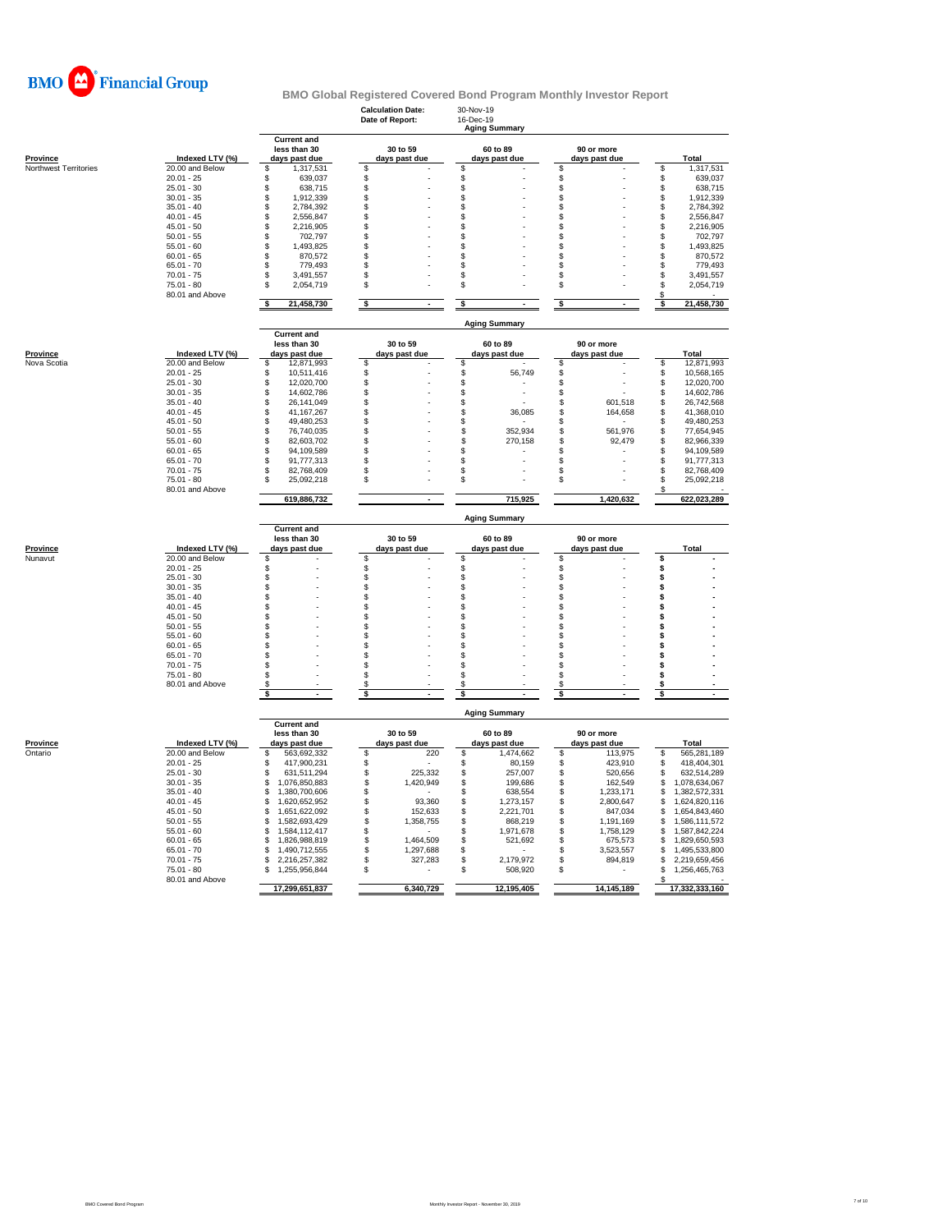

|                                          |                                    |                                      | <b>Calculation Date:</b><br>Date of Report: | 30-Nov-19<br>16-Dec-19<br><b>Aging Summary</b> |                                  |                                      |
|------------------------------------------|------------------------------------|--------------------------------------|---------------------------------------------|------------------------------------------------|----------------------------------|--------------------------------------|
|                                          |                                    | <b>Current and</b><br>less than 30   | 30 to 59                                    | 60 to 89                                       | 90 or more                       |                                      |
| <b>Province</b><br>Northwest Territories | Indexed LTV (%)<br>20.00 and Below | days past due<br>\$.<br>1,317,531    | days past due<br>\$                         | days past due<br>\$                            | days past due<br>\$              | <b>Total</b><br>\$<br>1,317,531      |
|                                          | $20.01 - 25$                       | \$<br>639,037                        | \$                                          | \$                                             | \$                               | \$<br>639,037                        |
|                                          | $25.01 - 30$                       | \$<br>638,715                        | $\ddot{\text{s}}$                           | \$                                             | \$                               | \$<br>638,715                        |
|                                          | $30.01 - 35$                       | \$<br>1,912,339                      | \$                                          | \$                                             | \$                               | \$<br>1,912,339                      |
|                                          | $35.01 - 40$                       | \$<br>2,784,392                      | \$                                          | \$                                             | \$                               | \$<br>2,784,392                      |
|                                          | $40.01 - 45$                       | \$<br>2,556,847                      | \$                                          | \$                                             | \$                               | \$<br>2,556,847                      |
|                                          | $45.01 - 50$                       | \$<br>2,216,905                      | \$                                          | S                                              | \$                               | \$<br>2,216,905                      |
|                                          | $50.01 - 55$                       | \$<br>702,797                        | \$                                          | S                                              | \$                               | \$<br>702,797                        |
|                                          | $55.01 - 60$                       | \$<br>1,493,825                      | \$                                          | \$                                             | \$                               | \$<br>1,493,825                      |
|                                          | $60.01 - 65$                       | \$<br>870,572                        | \$                                          | \$                                             | \$                               | \$<br>870,572                        |
|                                          | $65.01 - 70$<br>$70.01 - 75$       | \$<br>779,493<br>3.491.557           | \$<br>S                                     | S                                              | \$<br>\$                         | \$<br>779,493<br>3,491,557           |
|                                          | $75.01 - 80$                       | \$<br>\$<br>2,054,719                | \$                                          | \$<br>\$                                       | \$                               | \$<br>\$<br>2,054,719                |
|                                          | 80.01 and Above                    |                                      |                                             |                                                |                                  | S                                    |
|                                          |                                    | \$<br>21,458,730                     | \$                                          | \$                                             | \$                               | 21,458,730<br>s                      |
|                                          |                                    | <b>Current and</b>                   |                                             | <b>Aging Summary</b>                           |                                  |                                      |
|                                          |                                    | less than 30                         | 30 to 59                                    | 60 to 89                                       | 90 or more                       |                                      |
| Province                                 | Indexed LTV (%)                    | days past due                        | days past due                               | days past due                                  | days past due                    | Total                                |
| Nova Scotia                              | 20.00 and Below                    | \$<br>12,871,993                     | S                                           | \$                                             | \$                               | \$<br>12,871,993                     |
|                                          | $20.01 - 25$                       | \$<br>10,511,416                     | \$                                          | S<br>56,749                                    | \$                               | \$<br>10,568,165                     |
|                                          | $25.01 - 30$                       | \$<br>12,020,700                     | \$                                          | \$                                             | \$                               | \$<br>12,020,700                     |
|                                          | $30.01 - 35$                       | \$<br>14.602.786                     | \$                                          | \$                                             | \$                               | \$<br>14.602.786                     |
|                                          | $35.01 - 40$                       | \$<br>26,141,049                     | \$                                          | \$                                             | \$<br>601,518                    | \$<br>26,742,568                     |
|                                          | $40.01 - 45$                       | \$<br>41,167,267                     | \$                                          | \$<br>36,085                                   | \$<br>164,658                    | \$<br>41,368,010                     |
|                                          | $45.01 - 50$                       | \$<br>49,480,253                     | \$                                          | \$                                             | \$                               | \$<br>49,480,253                     |
|                                          | $50.01 - 55$                       | \$<br>76,740,035                     | \$                                          | \$<br>352,934                                  | \$<br>561,976                    | \$<br>77,654,945                     |
|                                          | $55.01 - 60$                       | \$<br>82,603,702                     | \$                                          | \$<br>270,158                                  | \$<br>92,479                     | \$<br>82,966,339                     |
|                                          | $60.01 - 65$<br>$65.01 - 70$       | \$<br>94,109,589<br>\$<br>91,777,313 | \$<br>\$                                    | \$<br>\$                                       | \$<br>\$                         | \$<br>94,109,589<br>\$<br>91,777,313 |
|                                          | $70.01 - 75$                       | \$<br>82,768,409                     | \$.                                         | \$                                             | \$                               | \$<br>82.768.409                     |
|                                          | $75.01 - 80$                       | Ŝ<br>25,092,218                      | \$                                          | \$                                             | \$                               | Ŝ<br>25,092,218                      |
|                                          | 80.01 and Above                    |                                      |                                             |                                                |                                  |                                      |
|                                          |                                    | 619,886,732                          |                                             | 715.925                                        | 1.420.632                        | 622,023,289                          |
|                                          |                                    | <b>Current and</b>                   |                                             | <b>Aging Summary</b>                           |                                  |                                      |
|                                          |                                    | less than 30                         | 30 to 59                                    | 60 to 89                                       | 90 or more                       |                                      |
|                                          |                                    |                                      |                                             |                                                |                                  |                                      |
| Province<br>Nunavut                      | Indexed LTV (%)<br>20.00 and Below | days past due<br>\$                  | days past due<br>S                          | days past due<br>\$                            | days past due<br>\$              | Total<br>\$                          |
|                                          | $20.01 - 25$                       | \$                                   | \$                                          | \$                                             | \$                               | \$                                   |
|                                          | $25.01 - 30$                       | \$                                   | \$                                          | \$                                             | \$                               | \$                                   |
|                                          | $30.01 - 35$                       | \$                                   | \$                                          | \$                                             | \$                               | \$                                   |
|                                          | $35.01 - 40$                       | \$                                   | \$                                          | \$                                             | \$                               | Ś                                    |
|                                          | $40.01 - 45$                       | \$                                   | \$                                          | S                                              | \$                               | s                                    |
|                                          | $45.01 - 50$                       | \$                                   | \$                                          | S                                              | \$                               | Ś                                    |
|                                          | $50.01 - 55$                       | \$                                   | \$                                          | S                                              | \$                               | \$                                   |
|                                          | $55.01 - 60$                       | \$                                   | \$                                          | \$                                             | \$                               | Ś                                    |
|                                          | $60.01 - 65$                       | \$                                   | \$                                          | \$                                             | \$                               | Ś                                    |
|                                          | $65.01 - 70$                       | \$<br>\$                             | \$                                          | \$<br>\$                                       | \$<br>\$                         | Ś<br>\$                              |
|                                          | $70.01 - 75$<br>$75.01 - 80$       | \$                                   | \$<br>\$                                    | \$                                             | \$                               | \$                                   |
|                                          | 80.01 and Above                    | \$                                   | S                                           | S                                              | \$                               | \$                                   |
|                                          |                                    | s                                    | \$                                          |                                                | s                                |                                      |
|                                          |                                    |                                      |                                             | <b>Aging Summary</b>                           |                                  |                                      |
|                                          |                                    | <b>Current and</b><br>less than 30   | 30 to 59                                    | 60 to 89                                       | 90 or more                       |                                      |
| Province                                 | Indexed LTV (%)                    | days past due                        | days past due                               | days past due                                  | days past due                    | <b>Total</b>                         |
| Ontario                                  | 20.00 and Below                    | \$<br>563,692,332                    | 220<br>\$.                                  | \$<br>1,474,662                                | \$<br>113,975                    | 565,281,189<br>\$                    |
|                                          | $20.01 - 25$                       | \$<br>417,900,231                    | \$                                          | \$<br>80,159                                   | \$<br>423,910                    | \$<br>418,404,301                    |
|                                          | $25.01 - 30$                       | \$<br>631,511,294                    | \$<br>225,332                               | \$<br>257,007                                  | \$<br>520,656                    | \$<br>632,514,289                    |
|                                          | $30.01 - 35$                       | \$<br>1,076,850,883                  | \$<br>1,420,949                             | \$<br>199,686                                  | \$<br>162.549                    | 1,078,634,067<br>\$                  |
|                                          | $35.01 - 40$                       | \$<br>1,380,700,606                  | \$                                          | \$<br>638,554                                  | \$<br>1,233,171                  | \$<br>1,382,572,331                  |
|                                          | $40.01 - 45$                       | \$<br>1,620,652,952                  | \$<br>93,360                                | \$<br>1,273,157                                | \$<br>2,800,647                  | S<br>1,624,820,116                   |
|                                          | $45.01 - 50$                       | \$<br>1.651.622.092                  | \$<br>152,633                               | \$<br>2,221,701                                | $$\mathbb{S}$$<br>847.034        | \$<br>1,654,843,460                  |
|                                          | $50.01 - 55$                       | \$<br>1,582,693,429<br>\$            | \$<br>1,358,755                             | \$<br>868,219<br>\$                            | \$<br>1,191,169                  | \$<br>1,586,111,572<br>\$            |
|                                          | $55.01 - 60$<br>$60.01 - 65$       | 1,584,112,417<br>1,826,988,819<br>\$ | \$<br>1,464,509                             | 1,971,678<br>521,692                           | \$<br>1,758,129<br>\$<br>675,573 | 1,587,842,224<br>\$                  |
|                                          | $65.01 - 70$                       | 1,490,712,555<br>\$                  | \$<br>\$<br>1,297,688                       | \$<br>\$                                       | \$<br>3,523,557                  | 1,829,650,593<br>1,495,533,800<br>\$ |
|                                          | $70.01 - 75$                       | S<br>2,216,257,382                   | \$<br>327,283                               | \$<br>2,179,972                                | \$<br>894,819                    | \$<br>2,219,659,456                  |
|                                          | $75.01 - 80$                       | 1,255,956,844<br>\$                  | \$                                          | \$<br>508,920                                  | \$                               | \$<br>1,256,465,763                  |
|                                          | 80.01 and Above                    | 17,299,651,837                       | 6,340,729                                   | 12,195,405                                     | 14, 145, 189                     | \$<br>17,332,333,160                 |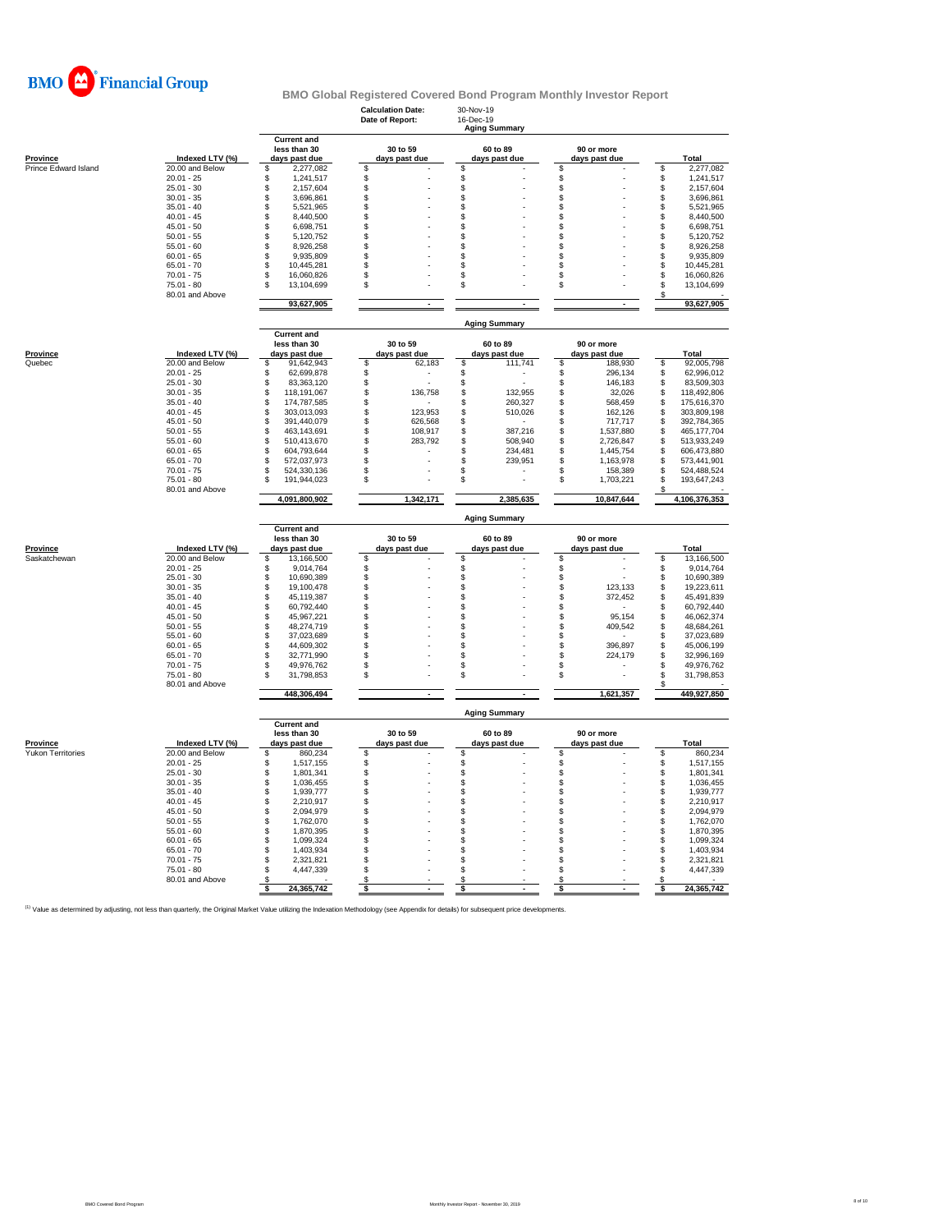

|                      |                                 |                                                     | <b>Calculation Date:</b><br>Date of Report: | 30-Nov-19<br>16-Dec-19<br><b>Aging Summary</b> |                                    |               |                            |
|----------------------|---------------------------------|-----------------------------------------------------|---------------------------------------------|------------------------------------------------|------------------------------------|---------------|----------------------------|
| <b>Province</b>      | Indexed LTV (%)                 | <b>Current and</b><br>less than 30<br>days past due | 30 to 59<br>days past due                   | 60 to 89<br>days past due                      | 90 or more<br>days past due        |               | Total                      |
| Prince Edward Island | 20.00 and Below                 | 2,277,082<br>\$                                     | \$                                          | \$                                             | \$                                 | \$            | 2,277,082                  |
|                      | $20.01 - 25$                    | Ŝ<br>1,241,517                                      | \$                                          | \$                                             | \$                                 | \$            | 1,241,517                  |
|                      | $25.01 - 30$                    | \$<br>2,157,604                                     | \$                                          | \$                                             | \$                                 | \$            | 2,157,604                  |
|                      | $30.01 - 35$                    | \$<br>3,696,861                                     | \$                                          | \$                                             | \$                                 | \$            | 3,696,861                  |
|                      | $35.01 - 40$                    | \$<br>5,521,965                                     | \$                                          | \$                                             | \$                                 | $\mathsf{\$}$ | 5,521,965                  |
|                      | $40.01 - 45$                    | 8,440,500<br>\$                                     | \$                                          | \$                                             | \$                                 | \$            | 8,440,500                  |
|                      | $45.01 - 50$                    | \$<br>6,698,751                                     | \$                                          | \$                                             | \$                                 | \$            | 6,698,751                  |
|                      | $50.01 - 55$                    | \$<br>5,120,752                                     | \$                                          | \$                                             | \$                                 | \$            | 5,120,752                  |
|                      | $55.01 - 60$                    | \$<br>8,926,258                                     | \$                                          | \$                                             | \$                                 | \$            | 8,926,258                  |
|                      | $60.01 - 65$                    | \$<br>9,935,809                                     | \$                                          | \$                                             | \$                                 | \$            | 9,935,809                  |
|                      | $65.01 - 70$                    | \$<br>10,445,281                                    | \$                                          | \$                                             | \$                                 | $\mathbb{S}$  | 10,445,281                 |
|                      | $70.01 - 75$                    | S<br>16,060,826                                     | \$                                          | \$                                             | \$                                 | \$            | 16,060,826                 |
|                      | $75.01 - 80$<br>80.01 and Above | \$<br>13,104,699                                    | \$                                          | \$                                             | \$                                 | \$<br>\$      | 13,104,699                 |
|                      |                                 | 93,627,905                                          | $\overline{a}$                              |                                                | ä,                                 |               | 93.627.905                 |
|                      |                                 | <b>Current and</b>                                  |                                             | <b>Aging Summary</b>                           |                                    |               |                            |
| <b>Province</b>      | Indexed LTV (%)                 | less than 30<br>days past due                       | 30 to 59<br>days past due                   | 60 to 89<br>days past due                      | 90 or more<br>days past due        |               | Total                      |
| Quebec               | 20.00 and Below                 | \$<br>91,642,943                                    | \$<br>62,183                                | 111,741<br>S                                   | \$<br>188,930                      | \$            | 92,005,798                 |
|                      | $20.01 - 25$                    | 62,699,878<br>\$                                    | \$                                          | \$                                             | 296,134<br>\$                      | \$            | 62,996,012                 |
|                      | $25.01 - 30$                    | \$<br>83,363,120                                    | \$                                          | \$                                             | \$<br>146,183                      | \$            | 83,509,303                 |
|                      | $30.01 - 35$                    | 118,191,067<br>\$                                   | \$<br>136,758                               | 132,955<br>\$                                  | 32,026<br>\$                       | \$            | 118,492,806                |
|                      | $35.01 - 40$                    | \$<br>174,787,585                                   | \$                                          | \$<br>260,327                                  | \$<br>568,459                      | \$            | 175,616,370                |
|                      | $40.01 - 45$                    | \$<br>303,013,093                                   | \$<br>123,953                               | \$<br>510,026                                  | \$<br>162,126                      | \$            | 303,809,198                |
|                      | $45.01 - 50$                    | 391,440,079<br>\$                                   | \$<br>626,568                               | \$                                             | \$<br>717,717                      | \$            | 392,784,365                |
|                      | $50.01 - 55$                    | \$<br>463,143,691                                   | \$<br>108,917                               | \$<br>387,216                                  | \$<br>1,537,880                    | \$            | 465, 177, 704              |
|                      | $55.01 - 60$<br>$60.01 - 65$    | \$<br>510,413,670<br>604.793.644                    | \$<br>283,792                               | \$<br>508,940                                  | \$<br>2,726,847                    | £.            | 513,933,249                |
|                      | $65.01 - 70$                    | \$<br>\$<br>572,037,973                             | \$<br>\$                                    | \$<br>234,481<br>\$<br>239,951                 | \$<br>1,445,754<br>\$<br>1,163,978 | \$<br>\$      | 606,473,880<br>573,441,901 |
|                      | $70.01 - 75$                    | \$<br>524,330,136                                   | \$                                          | \$                                             | \$<br>158,389                      | \$            | 524,488,524                |
|                      | $75.01 - 80$                    | 191,944,023<br>\$                                   | \$                                          | \$.                                            | \$<br>1,703,221                    | S             | 193,647,243                |
|                      | 80.01 and Above                 |                                                     |                                             |                                                |                                    |               |                            |
|                      |                                 |                                                     |                                             |                                                |                                    |               |                            |
|                      |                                 | 4,091,800,902                                       | 1,342,171                                   | 2,385,635                                      | 10,847,644                         |               | 4,106,376,353              |
|                      |                                 | <b>Current and</b>                                  |                                             | <b>Aging Summary</b>                           |                                    |               |                            |
|                      |                                 | less than 30                                        | 30 to 59                                    | 60 to 89                                       | 90 or more                         |               |                            |
| <b>Province</b>      | Indexed LTV (%)                 | days past due                                       | days past due                               | days past due                                  | days past due                      |               | Total                      |
| Saskatchewan         | 20.00 and Below                 | Ŝ<br>13,166,500                                     | \$                                          | \$                                             | \$                                 | \$            | 13,166,500                 |
|                      | $20.01 - 25$                    | 9,014,764<br>S                                      | \$                                          | \$                                             | \$                                 | \$            | 9,014,764                  |
|                      | $25.01 - 30$                    | \$<br>10,690,389                                    | \$                                          | \$                                             | \$                                 | S             | 10,690,389                 |
|                      | $30.01 - 35$                    | \$<br>19,100,478                                    | \$                                          | \$                                             | \$<br>123,133                      | \$            | 19,223,611                 |
|                      | $35.01 - 40$                    | \$<br>45,119,387                                    | \$                                          | \$<br>\$                                       | \$<br>372,452                      | \$            | 45,491,839                 |
|                      | $40.01 - 45$<br>$45.01 - 50$    | \$<br>60,792,440<br>\$<br>45,967,221                | \$<br>\$                                    | \$                                             | \$<br>\$<br>95,154                 | \$<br>S       | 60,792,440<br>46,062,374   |
|                      | $50.01 - 55$                    | \$<br>48,274,719                                    | \$                                          | \$                                             | \$<br>409,542                      | \$            | 48,684,261                 |
|                      | $55.01 - 60$                    | \$<br>37,023,689                                    | \$                                          | \$                                             | \$                                 | S             | 37,023,689                 |
|                      | $60.01 - 65$                    | \$<br>44,609,302                                    | \$                                          | £.                                             | \$<br>396,897                      | \$            | 45,006,199                 |
|                      | $65.01 - 70$                    | 32,771,990<br>\$                                    | \$                                          | \$                                             | \$<br>224,179                      | \$            | 32,996,169                 |
|                      | $70.01 - 75$                    | \$<br>49,976,762                                    | \$                                          | \$                                             | \$                                 | \$            | 49,976,762                 |
|                      | $75.01 - 80$<br>80.01 and Above | s<br>31,798,853                                     | \$                                          | \$                                             | \$                                 | \$<br>\$      | 31,798,853                 |
|                      |                                 | 448,306,494                                         |                                             |                                                | 1,621,357                          |               | 449,927,850                |
|                      |                                 | <b>Current and</b>                                  |                                             | <b>Aging Summary</b>                           |                                    |               |                            |
|                      |                                 | less than 30                                        | 30 to 59                                    | 60 to 89                                       | 90 or more                         |               |                            |
| Province             | Indexed LTV (%)                 | days past due                                       | days past due                               | days past due                                  | days past due                      |               | <b>Total</b>               |
| Yukon Territories    | 20.00 and Below                 | $\mathbf{s}$<br>860,234                             | \$                                          | \$                                             | \$                                 | \$            | 860,234                    |
|                      | $20.01 - 25$                    | S<br>1,517,155                                      | \$                                          | \$                                             | \$                                 | \$            | 1,517,155                  |
|                      | $25.01 - 30$                    | \$<br>1,801,341                                     | \$                                          | \$                                             | \$                                 | \$            | 1,801,341                  |
|                      | $30.01 - 35$                    | \$<br>1,036,455                                     | \$                                          | \$                                             | \$                                 | \$            | 1,036,455                  |
|                      | $35.01 - 40$                    | \$<br>1,939,777                                     | \$                                          | \$                                             | \$                                 | \$            | 1,939,777                  |
|                      | $40.01 - 45$                    | \$<br>2,210,917                                     | \$                                          | \$                                             | \$                                 | \$            | 2,210,917                  |
|                      | $45.01 - 50$                    | \$<br>2,094,979                                     | \$                                          | \$                                             | \$                                 | \$            | 2,094,979                  |
|                      | $50.01 - 55$                    | \$<br>1,762,070                                     | \$                                          | \$                                             | \$                                 | \$            | 1,762,070                  |
|                      | $55.01 - 60$                    | \$<br>1,870,395                                     | \$                                          | \$                                             | \$                                 | \$            | 1,870,395                  |
|                      | $60.01 - 65$                    | \$<br>1,099,324                                     | \$                                          | \$                                             | \$                                 | \$            | 1,099,324                  |
|                      | $65.01 - 70$                    | 1,403,934<br>\$                                     | \$                                          | \$                                             | \$                                 | \$            | 1,403,934                  |
|                      | $70.01 - 75$                    | \$<br>2,321,821                                     | \$                                          | \$                                             | \$                                 | \$            | 2,321,821                  |
|                      | $75.01 - 80$<br>80.01 and Above | 4,447,339<br>S<br>\$                                | \$<br>\$                                    | \$<br>\$                                       | \$<br>\$                           | \$<br>\$      | 4,447,339                  |

<sup>(1)</sup> Value as determined by adjusting, not less than quarterly, the Original Market Value utilizing the Indexation Methodology (see Appendix for details) for subsequent price developments.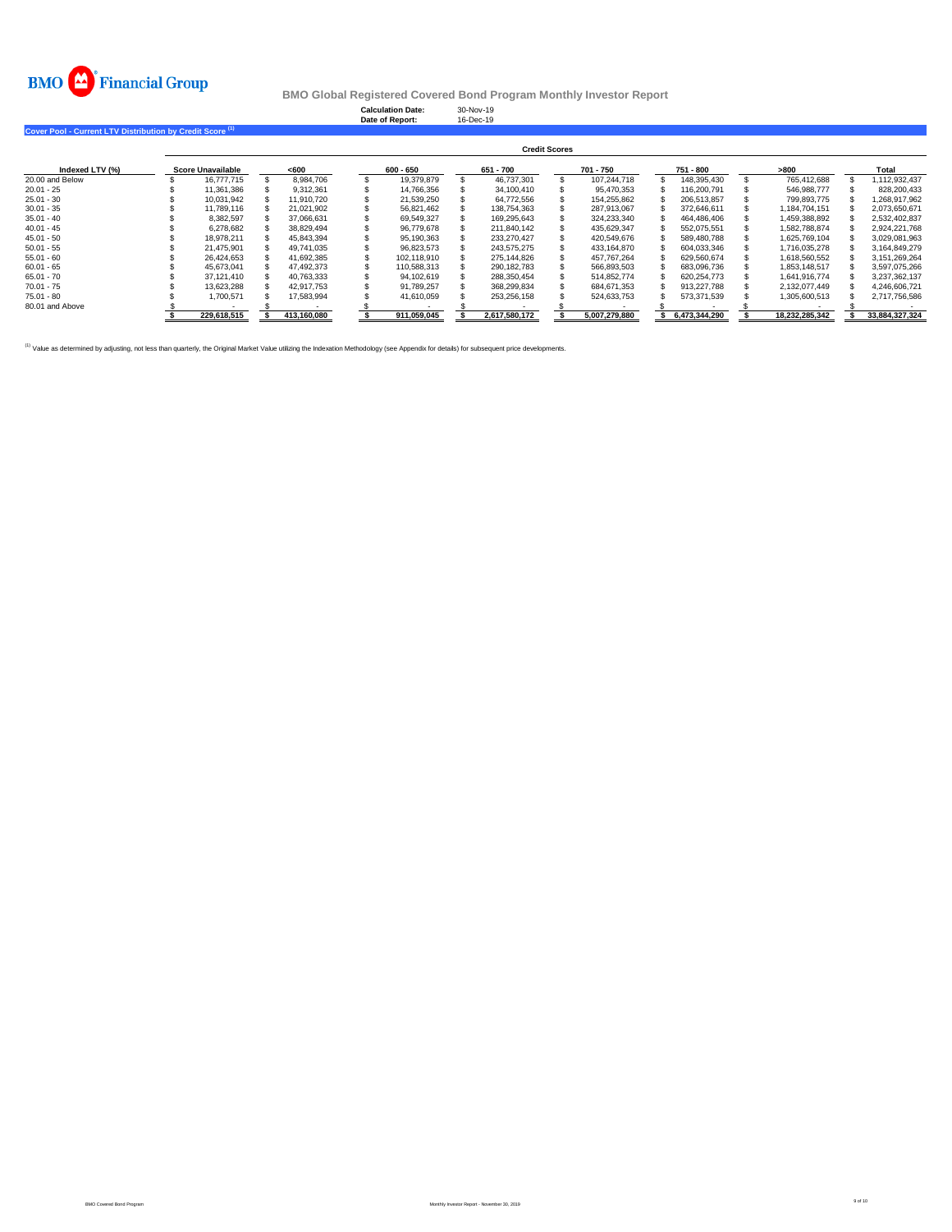

**Calculation Date:** 30-Nov-19 **Date of Report:** 16-Dec-19

**Cover Pool - Current LTV Distribution by Credit Score (1)** 

|                 | <b>Credit Scores</b> |                   |  |             |  |             |  |               |  |               |  |               |  |                |                |
|-----------------|----------------------|-------------------|--|-------------|--|-------------|--|---------------|--|---------------|--|---------------|--|----------------|----------------|
| Indexed LTV (%) |                      | Score Unavailable |  | < 600       |  | 600 - 650   |  | 651 - 700     |  | 701 - 750     |  | 751 - 800     |  | >800           | Total          |
| 20.00 and Below |                      | 16,777,715        |  | 8.984.706   |  | 19.379.879  |  | 46.737.301    |  | 107.244.718   |  | 148.395.430   |  | 765.412.688    | 1.112.932.437  |
| $20.01 - 25$    |                      | 11.361.386        |  | 9.312.361   |  | 14.766.356  |  | 34,100,410    |  | 95.470.353    |  | 116.200.791   |  | 546.988.777    | 828.200.433    |
| $25.01 - 30$    |                      | 10.031.942        |  | 11.910.720  |  | 21.539.250  |  | 64.772.556    |  | 154.255.862   |  | 206.513.857   |  | 799.893.775    | 1.268.917.962  |
| $30.01 - 35$    |                      | 11.789.116        |  | 21,021,902  |  | 56,821,462  |  | 138,754,363   |  | 287,913,067   |  | 372.646.611   |  | 1,184,704,151  | 2,073,650,671  |
| $35.01 - 40$    |                      | 8.382.597         |  | 37.066.631  |  | 69.549.327  |  | 169.295.643   |  | 324.233.340   |  | 464.486.406   |  | 1,459,388,892  | 2,532,402,837  |
| $40.01 - 45$    |                      | 6.278.682         |  | 38.829.494  |  | 96.779.678  |  | 211.840.142   |  | 435.629.347   |  | 552.075.551   |  | 1.582.788.874  | 2.924.221.768  |
| $45.01 - 50$    |                      | 18.978.211        |  | 45.843.394  |  | 95.190.363  |  | 233.270.427   |  | 420.549.676   |  | 589.480.788   |  | 1.625.769.104  | 3.029.081.963  |
| $50.01 - 55$    |                      | 21.475.901        |  | 49.741.035  |  | 96.823.573  |  | 243.575.275   |  | 433.164.870   |  | 604.033.346   |  | 1.716.035.278  | 3.164.849.279  |
| $55.01 - 60$    |                      | 26.424.653        |  | 41.692.385  |  | 102.118.910 |  | 275.144.826   |  | 457.767.264   |  | 629.560.674   |  | 1,618,560,552  | 3.151.269.264  |
| $60.01 - 65$    |                      | 45.673.041        |  | 47.492.373  |  | 110.588.313 |  | 290.182.783   |  | 566.893.503   |  | 683.096.736   |  | 1.853.148.517  | 3.597.075.266  |
| $65.01 - 70$    |                      | 37.121.410        |  | 40.763.333  |  | 94.102.619  |  | 288.350.454   |  | 514.852.774   |  | 620.254.773   |  | 1.641.916.774  | 3.237.362.137  |
| $70.01 - 75$    |                      | 13.623.288        |  | 42.917.753  |  | 91.789.257  |  | 368.299.834   |  | 684.671.353   |  | 913.227.788   |  | 2.132.077.449  | 4.246.606.721  |
| $75.01 - 80$    |                      | 1.700.571         |  | 17.583.994  |  | 41.610.059  |  | 253,256,158   |  | 524.633.753   |  | 573.371.539   |  | 1,305,600,513  | 2,717,756,586  |
| 80.01 and Above |                      |                   |  |             |  |             |  |               |  |               |  |               |  |                |                |
|                 |                      | 229.618.515       |  | 413.160.080 |  | 911.059.045 |  | 2.617.580.172 |  | 5.007.279.880 |  | 6.473.344.290 |  | 18.232.285.342 | 33.884.327.324 |

<sup>(1)</sup> Value as determined by adjusting, not less than quarterly, the Original Market Value utilizing the Indexation Methodology (see Appendix for details) for subsequent price developments